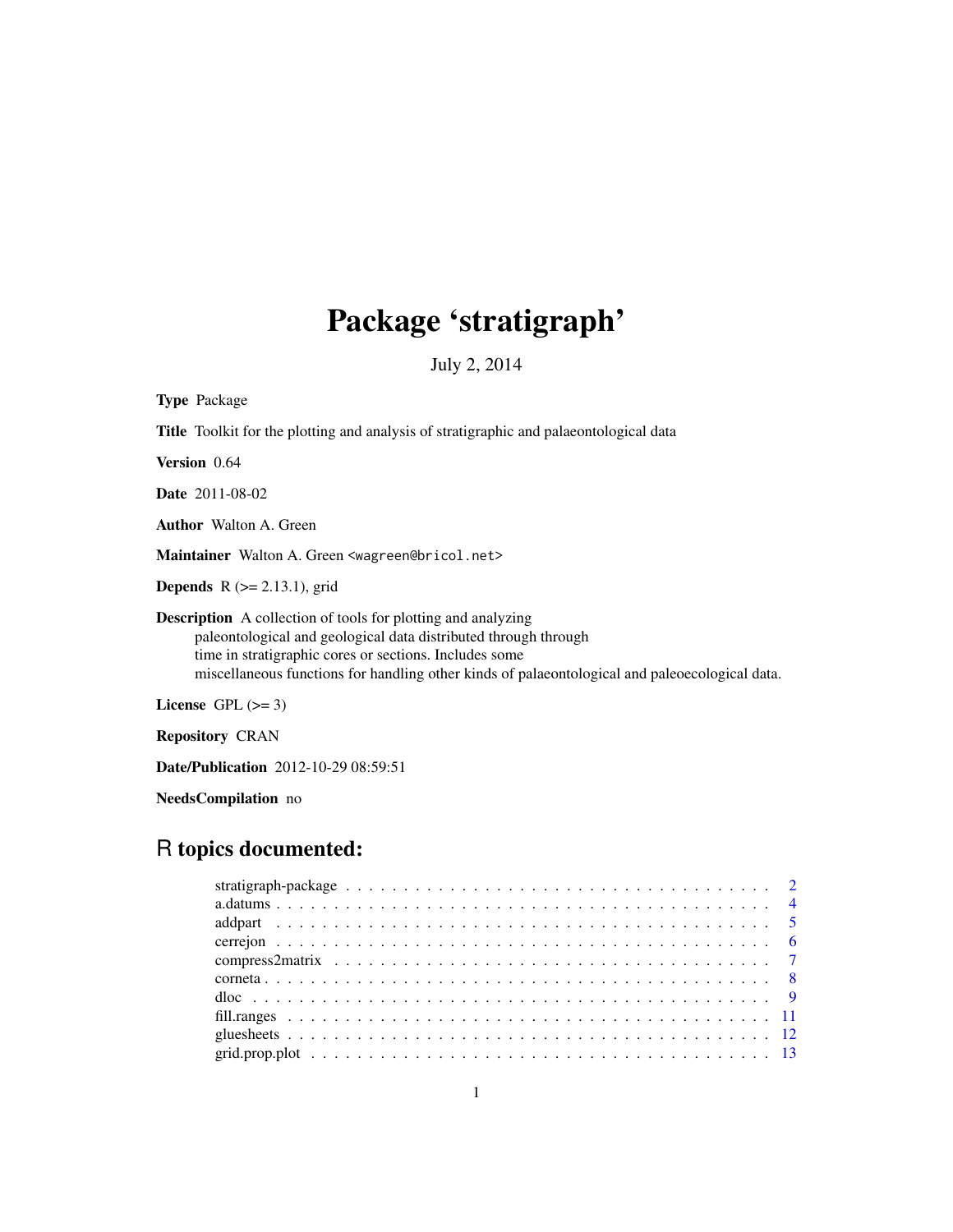# Package 'stratigraph'

July 2, 2014

<span id="page-0-0"></span>

| <b>Type Package</b>                                                                                                                                                                                                                                                                                |
|----------------------------------------------------------------------------------------------------------------------------------------------------------------------------------------------------------------------------------------------------------------------------------------------------|
| <b>Title</b> Toolkit for the plotting and analysis of stratigraphic and palaeontological data                                                                                                                                                                                                      |
| <b>Version</b> 0.64                                                                                                                                                                                                                                                                                |
| <b>Date</b> 2011-08-02                                                                                                                                                                                                                                                                             |
| <b>Author</b> Walton A. Green                                                                                                                                                                                                                                                                      |
| Maintainer Walton A. Green <wagreen@bricol.net></wagreen@bricol.net>                                                                                                                                                                                                                               |
| <b>Depends</b> $R (= 2.13.1)$ , grid                                                                                                                                                                                                                                                               |
| <b>Description</b> A collection of tools for plotting and analyzing<br>paleontological and geological data distributed through through<br>time in stratigraphic cores or sections. Includes some<br>miscellaneous functions for handling other kinds of palaeontological and paleoecological data. |
| License $GPL \, (>= 3)$                                                                                                                                                                                                                                                                            |
| <b>Repository CRAN</b>                                                                                                                                                                                                                                                                             |

Date/Publication 2012-10-29 08:59:51

NeedsCompilation no

# R topics documented: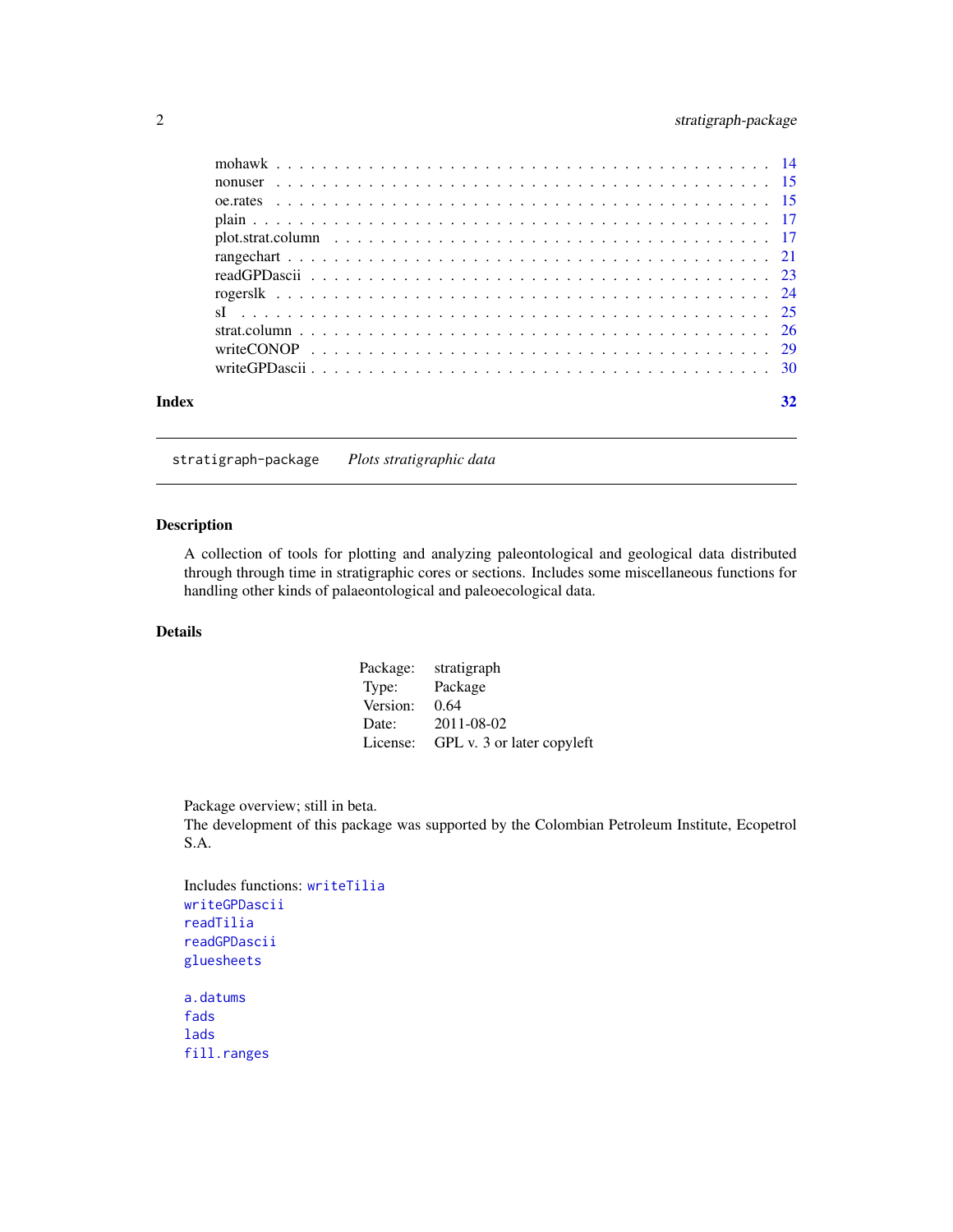# <span id="page-1-0"></span>2 stratigraph-package

| Index | 32 |
|-------|----|

stratigraph-package *Plots stratigraphic data*

# <span id="page-1-1"></span>Description

A collection of tools for plotting and analyzing paleontological and geological data distributed through through time in stratigraphic cores or sections. Includes some miscellaneous functions for handling other kinds of palaeontological and paleoecological data.

# Details

| Package: | stratigraph                |
|----------|----------------------------|
| Type:    | Package                    |
| Version: | 0.64                       |
| Date:    | 2011-08-02                 |
| License: | GPL v. 3 or later copyleft |

Package overview; still in beta.

The development of this package was supported by the Colombian Petroleum Institute, Ecopetrol S.A.

```
Includes functions: writeTilia
writeGPDascii
readTilia
readGPDascii
gluesheets
a.datums
fads
lads
fill.ranges
```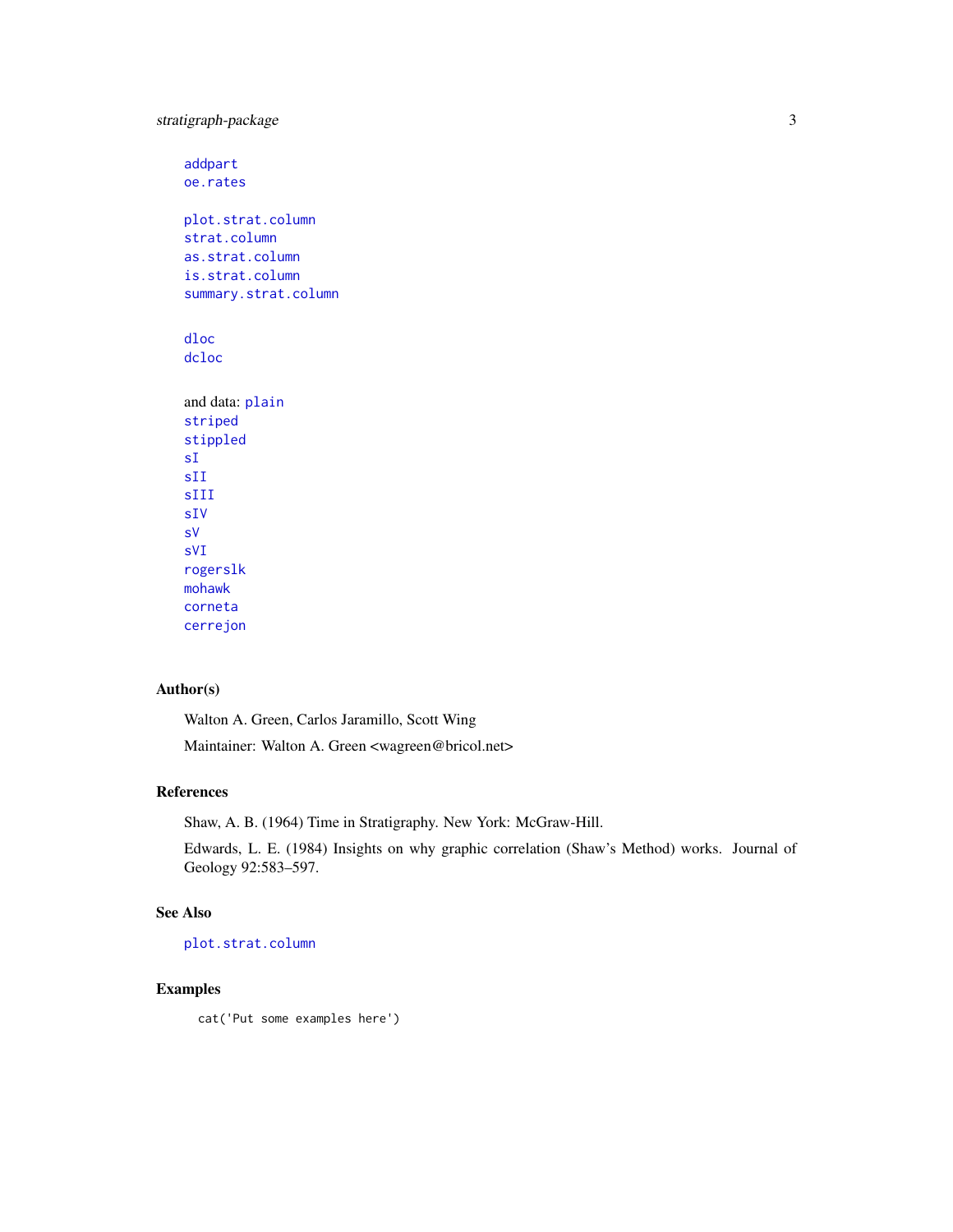<span id="page-2-0"></span>stratigraph-package 3

[addpart](#page-4-1) [oe.rates](#page-14-1) [plot.strat.column](#page-16-1) [strat.column](#page-25-1) [as.strat.column](#page-25-2) [is.strat.column](#page-25-2) [summary.strat.column](#page-25-2) [dloc](#page-8-1) [dcloc](#page-8-2) and data: [plain](#page-16-2) [striped](#page-16-3) [stippled](#page-16-3) [sI](#page-24-1) [sII](#page-24-2) [sIII](#page-24-2) [sIV](#page-24-2) [sV](#page-24-2) [sVI](#page-24-2) [rogerslk](#page-23-1) [mohawk](#page-13-1) [corneta](#page-7-1)

#### Author(s)

[cerrejon](#page-5-1)

Walton A. Green, Carlos Jaramillo, Scott Wing

Maintainer: Walton A. Green <wagreen@bricol.net>

#### References

Shaw, A. B. (1964) Time in Stratigraphy. New York: McGraw-Hill.

Edwards, L. E. (1984) Insights on why graphic correlation (Shaw's Method) works. Journal of Geology 92:583–597.

# See Also

[plot.strat.column](#page-16-1)

#### Examples

cat('Put some examples here')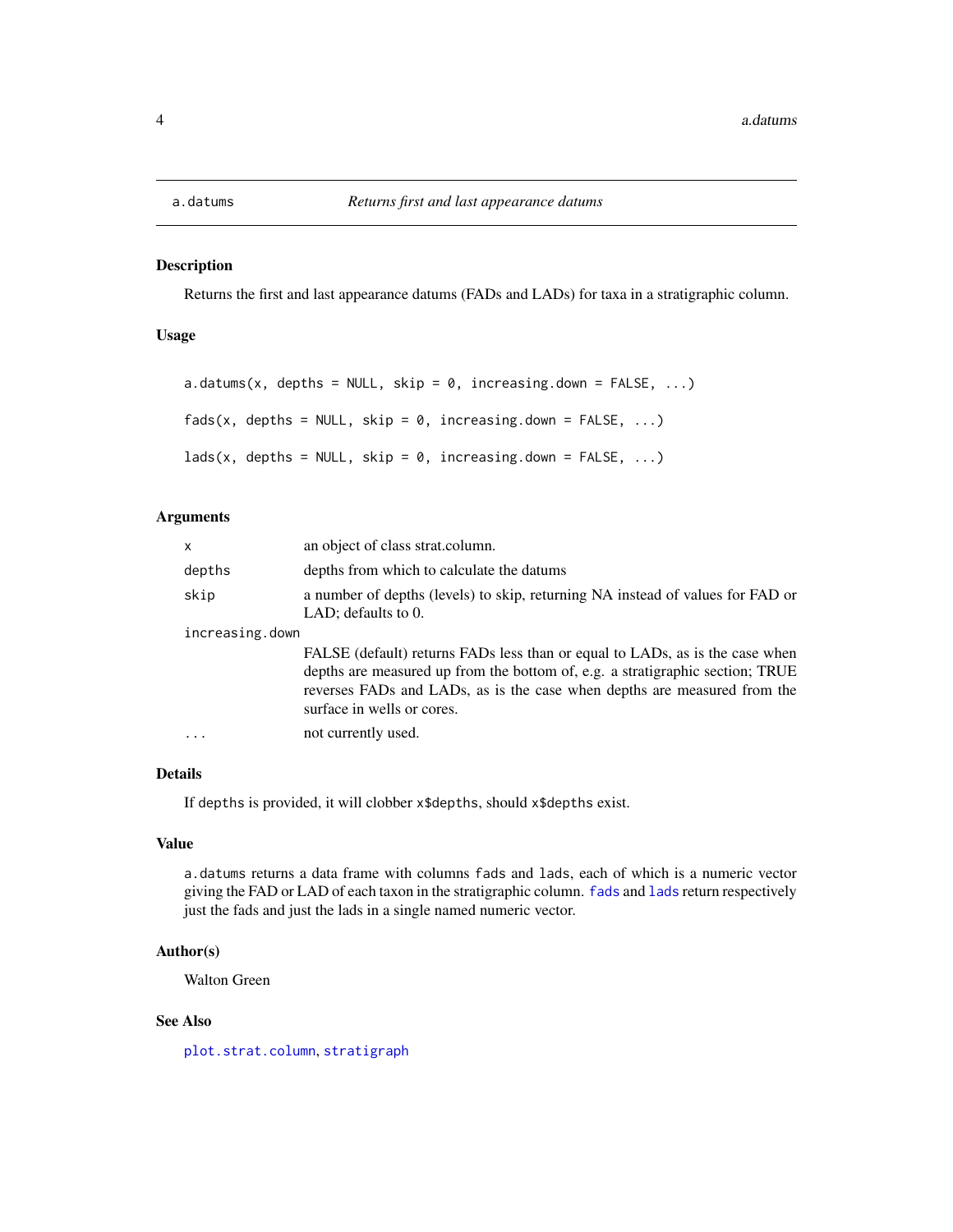<span id="page-3-1"></span><span id="page-3-0"></span>

# <span id="page-3-2"></span>Description

Returns the first and last appearance datums (FADs and LADs) for taxa in a stratigraphic column.

# Usage

```
a.datums(x, depths = NULL, skip = 0, increasing.down = FALSE, ...)fads(x, depths = NULL, skip = 0, increasing down = FALSE, ...)lads(x, depths = NULL, skip = 0, increasing-down = FALSE, ...)
```
#### Arguments

| $\mathsf{x}$    | an object of class strat.column.                                                                                                                                                                                                                                        |
|-----------------|-------------------------------------------------------------------------------------------------------------------------------------------------------------------------------------------------------------------------------------------------------------------------|
| depths          | depths from which to calculate the datums                                                                                                                                                                                                                               |
| skip            | a number of depths (levels) to skip, returning NA instead of values for FAD or<br>LAD; defaults to $0$ .                                                                                                                                                                |
| increasing.down |                                                                                                                                                                                                                                                                         |
|                 | FALSE (default) returns FADs less than or equal to LADs, as is the case when<br>depths are measured up from the bottom of, e.g. a stratigraphic section; TRUE<br>reverses FADs and LADs, as is the case when depths are measured from the<br>surface in wells or cores. |
|                 | not currently used.                                                                                                                                                                                                                                                     |

# Details

If depths is provided, it will clobber x\$depths, should x\$depths exist.

#### Value

a.datums returns a data frame with columns fads and lads, each of which is a numeric vector giving the FAD or LAD of each taxon in the stratigraphic column. [fads](#page-3-2) and [lads](#page-3-2) return respectively just the fads and just the lads in a single named numeric vector.

# Author(s)

Walton Green

#### See Also

[plot.strat.column](#page-16-1), [stratigraph](#page-1-1)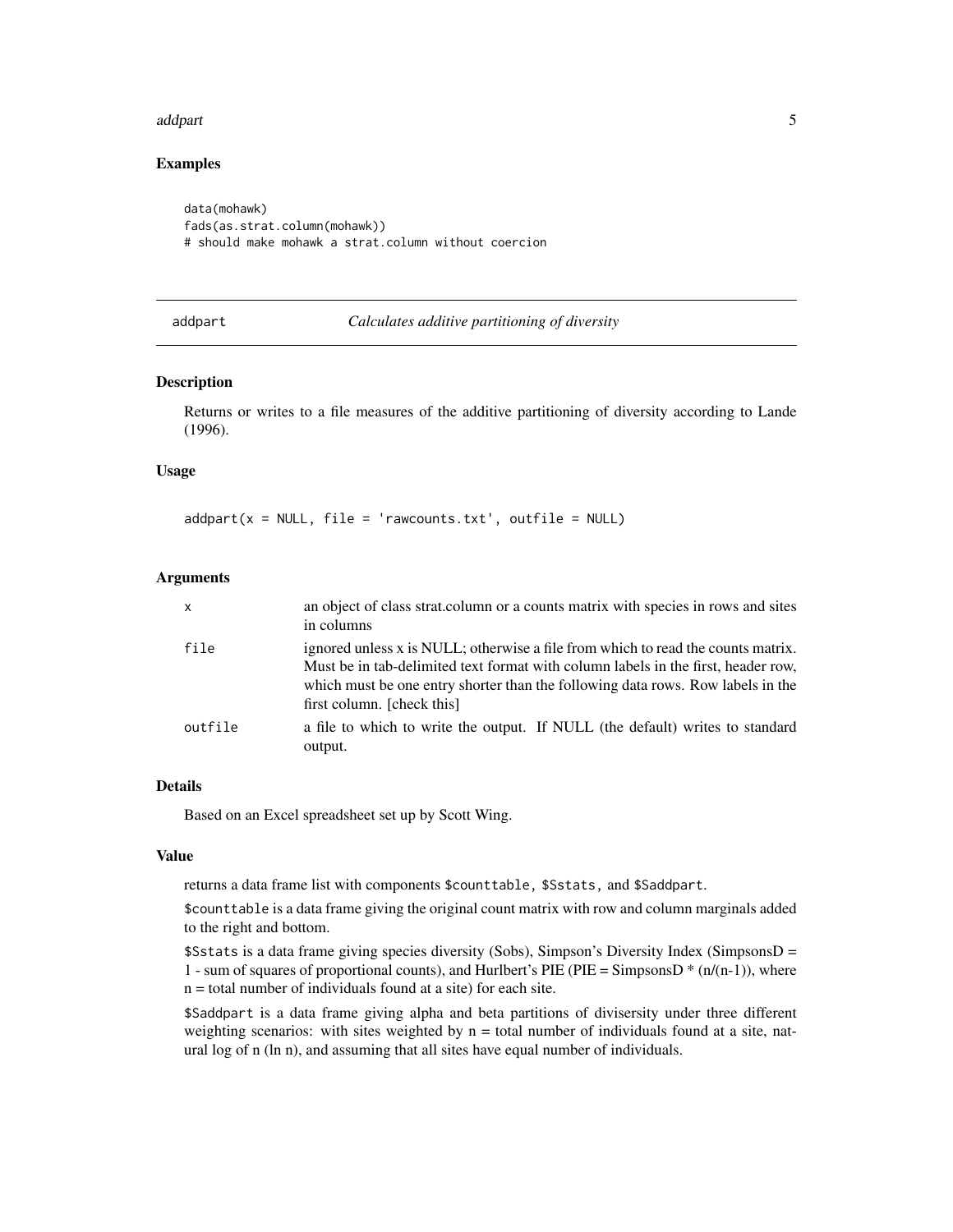#### <span id="page-4-0"></span>addpart 55 to 55 and 55 and 55 and 55 and 55 and 55 and 55 and 55 and 55 and 55 and 55 and 55 and 55 and 55 and 55 and 55 and 55 and 55 and 55 and 55 and 55 and 55 and 55 and 55 and 55 and 55 and 55 and 55 and 55 and 55 an

# Examples

```
data(mohawk)
fads(as.strat.column(mohawk))
# should make mohawk a strat.column without coercion
```
#### <span id="page-4-1"></span>addpart *Calculates additive partitioning of diversity*

#### Description

Returns or writes to a file measures of the additive partitioning of diversity according to Lande (1996).

#### Usage

 $addpart(x = NULL, file = 'rawcounts.txt', outfile = NULL)$ 

#### Arguments

| $\mathsf{x}$ | an object of class strat.column or a counts matrix with species in rows and sites<br>in columns                                                                                                                                                                                        |
|--------------|----------------------------------------------------------------------------------------------------------------------------------------------------------------------------------------------------------------------------------------------------------------------------------------|
| file         | ignored unless x is NULL; otherwise a file from which to read the counts matrix.<br>Must be in tab-delimited text format with column labels in the first, header row,<br>which must be one entry shorter than the following data rows. Row labels in the<br>first column. [check this] |
| outfile      | a file to which to write the output. If NULL (the default) writes to standard<br>output.                                                                                                                                                                                               |

# Details

Based on an Excel spreadsheet set up by Scott Wing.

#### Value

returns a data frame list with components \$counttable, \$Sstats, and \$Saddpart.

\$counttable is a data frame giving the original count matrix with row and column marginals added to the right and bottom.

\$Sstats is a data frame giving species diversity (Sobs), Simpson's Diversity Index (SimpsonsD = 1 - sum of squares of proportional counts), and Hurlbert's PIE (PIE = SimpsonsD  $*(n/(n-1))$ , where n = total number of individuals found at a site) for each site.

\$Saddpart is a data frame giving alpha and beta partitions of divisersity under three different weighting scenarios: with sites weighted by  $n =$  total number of individuals found at a site, natural log of n (ln n), and assuming that all sites have equal number of individuals.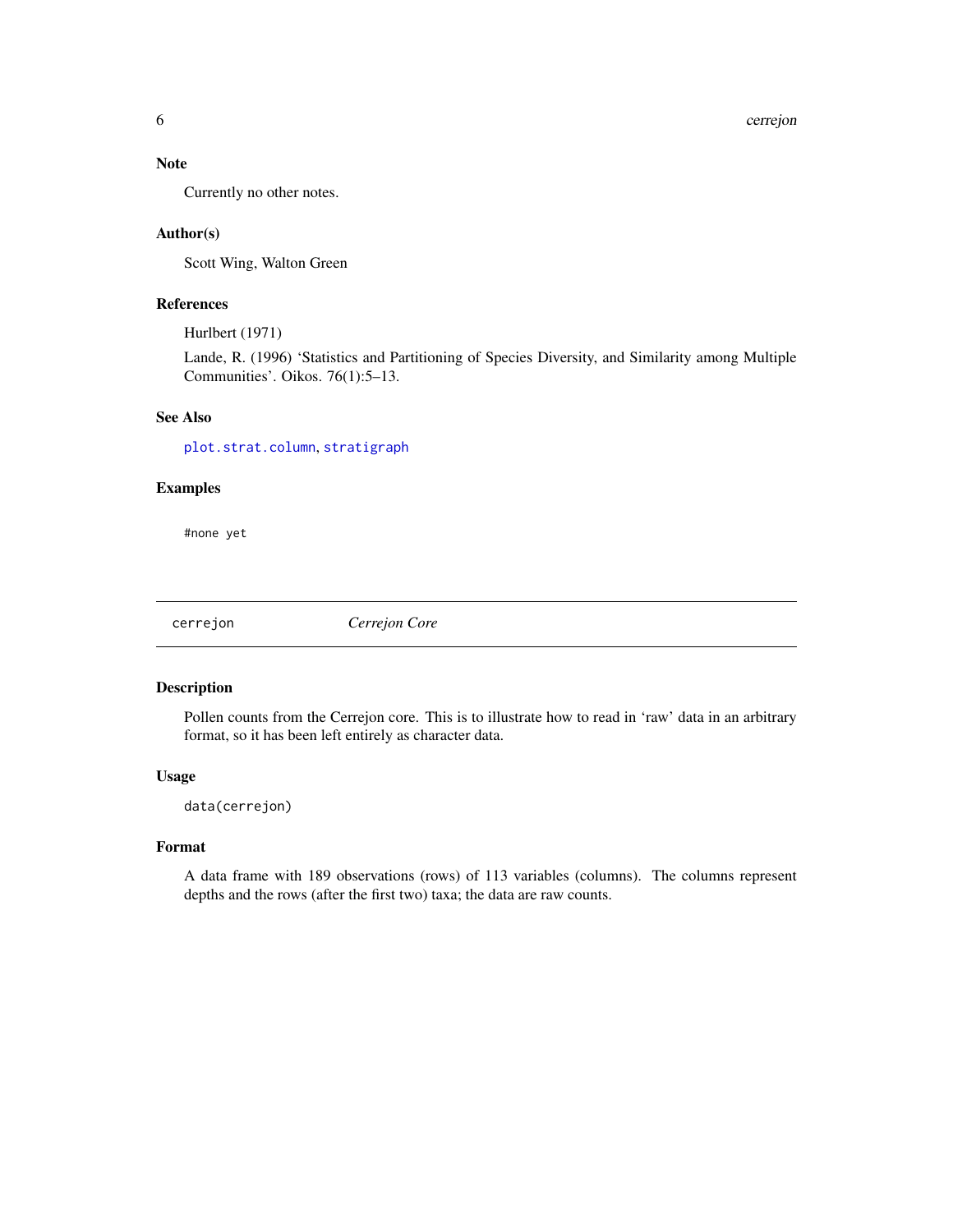#### <span id="page-5-0"></span>Note

Currently no other notes.

#### Author(s)

Scott Wing, Walton Green

#### References

Hurlbert (1971)

Lande, R. (1996) 'Statistics and Partitioning of Species Diversity, and Similarity among Multiple Communities'. Oikos. 76(1):5–13.

# See Also

[plot.strat.column](#page-16-1), [stratigraph](#page-1-1)

# Examples

#none yet

<span id="page-5-1"></span>cerrejon *Cerrejon Core*

#### Description

Pollen counts from the Cerrejon core. This is to illustrate how to read in 'raw' data in an arbitrary format, so it has been left entirely as character data.

## Usage

data(cerrejon)

#### Format

A data frame with 189 observations (rows) of 113 variables (columns). The columns represent depths and the rows (after the first two) taxa; the data are raw counts.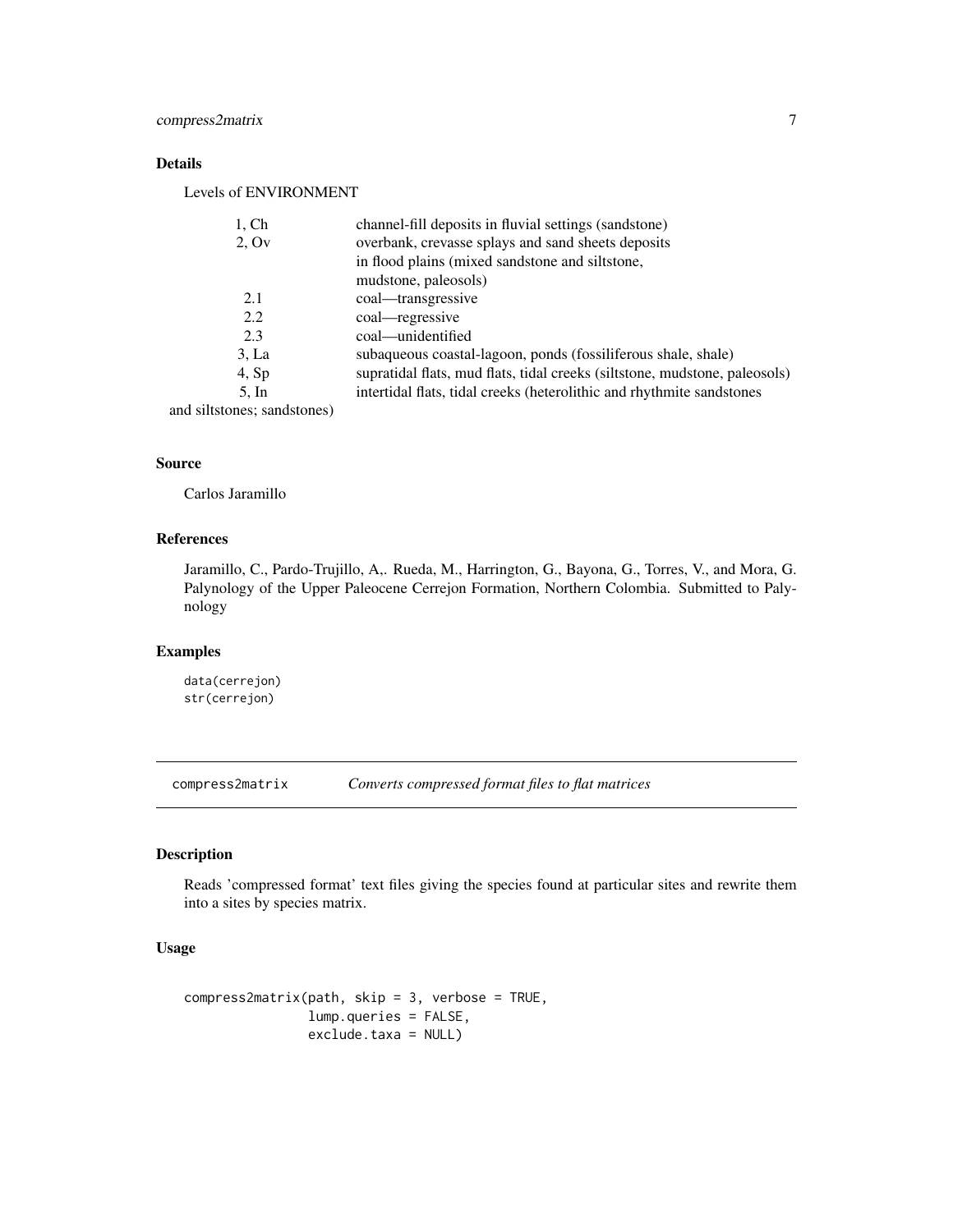# <span id="page-6-0"></span>Details

Levels of ENVIRONMENT

| $1,$ Ch                     | channel-fill deposits in fluvial settings (sandstone)                      |
|-----------------------------|----------------------------------------------------------------------------|
| 2.0v                        | overbank, crevasse splays and sand sheets deposits                         |
|                             | in flood plains (mixed sandstone and siltstone,                            |
|                             | mudstone, paleosols)                                                       |
| 2.1                         | coal—transgressive                                                         |
| 2.2                         | coal—regressive                                                            |
| 2.3                         | coal—unidentified                                                          |
| 3, La                       | subaqueous coastal-lagoon, ponds (fossiliferous shale, shale)              |
| 4, Sp                       | supratidal flats, mud flats, tidal creeks (siltstone, mudstone, paleosols) |
| $5.$ In                     | intertidal flats, tidal creeks (heterolithic and rhythmite sandstones      |
| and siltstones; sandstones) |                                                                            |

#### Source

Carlos Jaramillo

# References

Jaramillo, C., Pardo-Trujillo, A,. Rueda, M., Harrington, G., Bayona, G., Torres, V., and Mora, G. Palynology of the Upper Paleocene Cerrejon Formation, Northern Colombia. Submitted to Palynology

# Examples

data(cerrejon) str(cerrejon)

compress2matrix *Converts compressed format files to flat matrices*

#### Description

Reads 'compressed format' text files giving the species found at particular sites and rewrite them into a sites by species matrix.

# Usage

```
compress2matrix(path, skip = 3, verbose = TRUE,
                lump.queries = FALSE,
                exclude.taxa = NULL)
```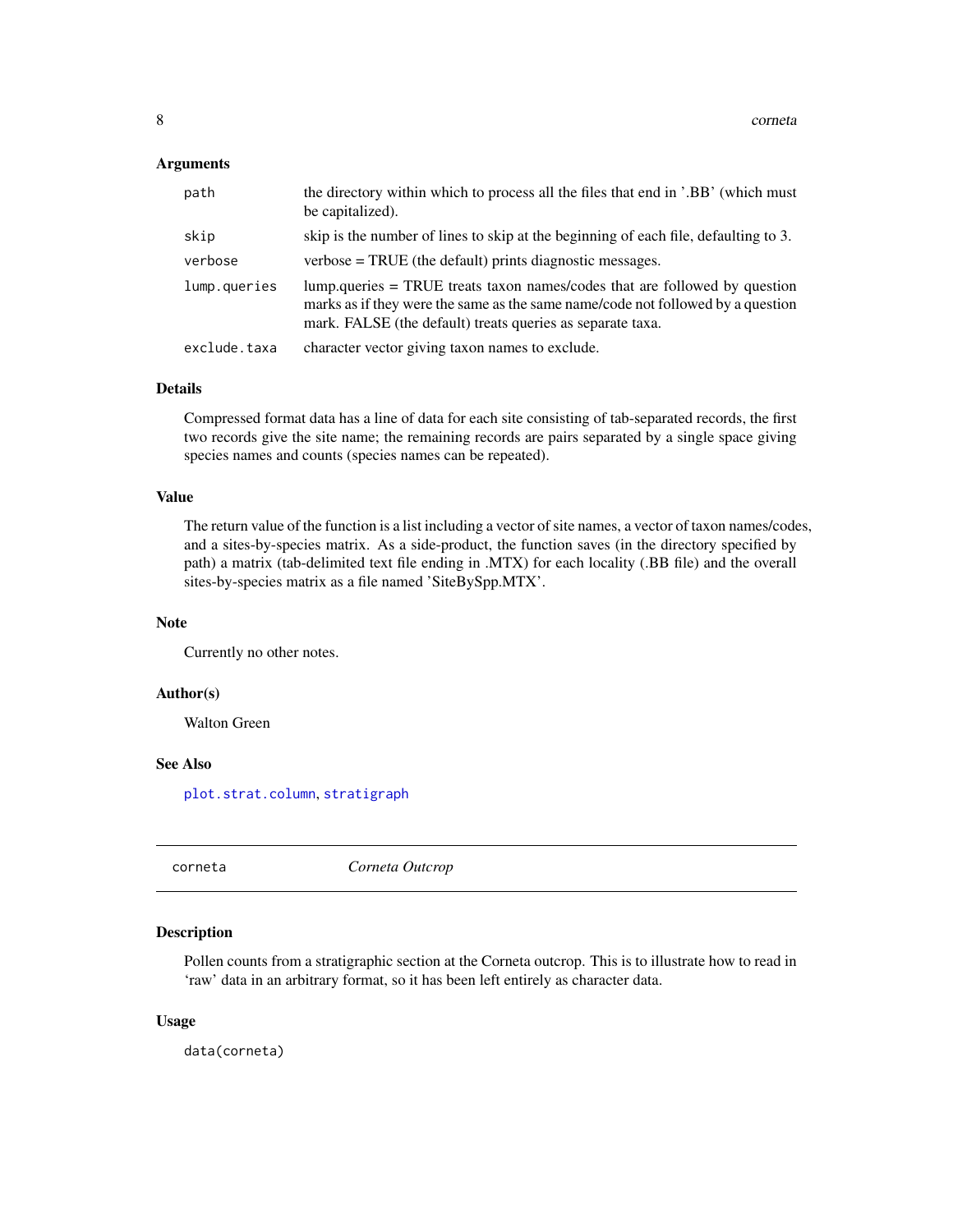#### <span id="page-7-0"></span>Arguments

| path         | the directory within which to process all the files that end in '.BB' (which must<br>be capitalized).                                                                                                                       |
|--------------|-----------------------------------------------------------------------------------------------------------------------------------------------------------------------------------------------------------------------------|
| skip         | skip is the number of lines to skip at the beginning of each file, defaulting to 3.                                                                                                                                         |
| verbose      | $verbose = TRUE$ (the default) prints diagnostic messages.                                                                                                                                                                  |
| lump.queries | lump.queries = TRUE treats taxon names/codes that are followed by question<br>marks as if they were the same as the same name/code not followed by a question<br>mark. FALSE (the default) treats queries as separate taxa. |
| exclude.taxa | character vector giving taxon names to exclude.                                                                                                                                                                             |

#### Details

Compressed format data has a line of data for each site consisting of tab-separated records, the first two records give the site name; the remaining records are pairs separated by a single space giving species names and counts (species names can be repeated).

# Value

The return value of the function is a list including a vector of site names, a vector of taxon names/codes, and a sites-by-species matrix. As a side-product, the function saves (in the directory specified by path) a matrix (tab-delimited text file ending in .MTX) for each locality (.BB file) and the overall sites-by-species matrix as a file named 'SiteBySpp.MTX'.

#### Note

Currently no other notes.

#### Author(s)

Walton Green

# See Also

[plot.strat.column](#page-16-1), [stratigraph](#page-1-1)

<span id="page-7-1"></span>corneta *Corneta Outcrop*

# Description

Pollen counts from a stratigraphic section at the Corneta outcrop. This is to illustrate how to read in 'raw' data in an arbitrary format, so it has been left entirely as character data.

#### Usage

data(corneta)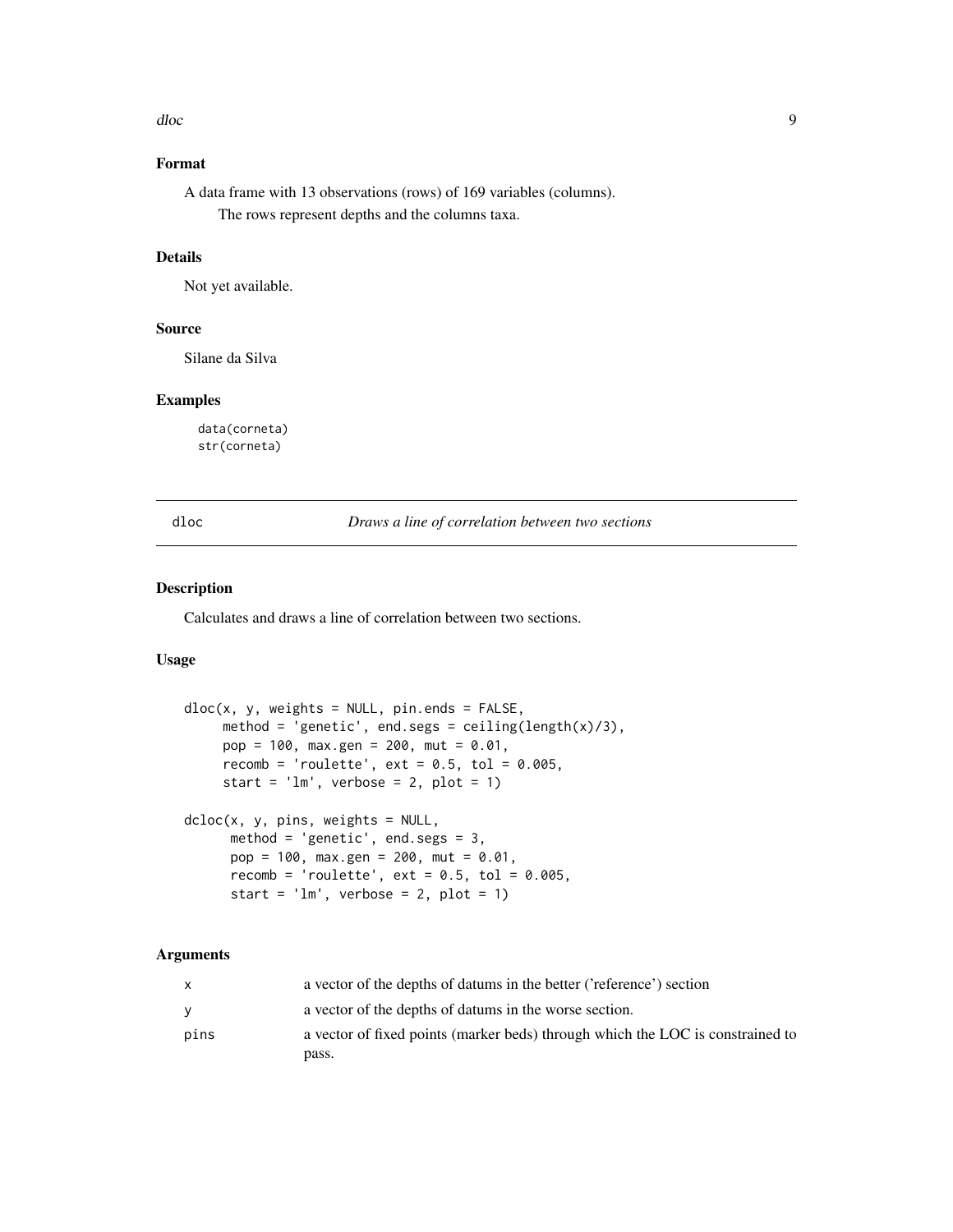<span id="page-8-0"></span>dloc and the state of the state of the state of the state of the state of the state of the state of the state of the state of the state of the state of the state of the state of the state of the state of the state of the s

# Format

A data frame with 13 observations (rows) of 169 variables (columns). The rows represent depths and the columns taxa.

# Details

Not yet available.

#### Source

Silane da Silva

#### Examples

data(corneta) str(corneta)

<span id="page-8-1"></span>dloc *Draws a line of correlation between two sections*

# <span id="page-8-2"></span>Description

Calculates and draws a line of correlation between two sections.

## Usage

```
dloc(x, y, weights = NULL, pin.ends = FALSE,method = 'genetic', end.segs = ceiling(length(x)/3),
     pop = 100, max.gen = 200, mut = 0.01,
     recomb = 'roulette', ext = 0.5, tol = 0.005,
     start = 'lm', verbose = 2, plot = 1)
dcloc(x, y, pins, weights = NULL,
     method = 'genetic', end.segs = 3,
     pop = 100, max.gen = 200, mut = 0.01,
     recomb = 'roulette', ext = 0.5, tol = 0.005,
     start = lm', verbose = 2, plot = 1)
```
# Arguments

|      | a vector of the depths of datums in the better ('reference') section           |
|------|--------------------------------------------------------------------------------|
|      | a vector of the depths of datums in the worse section.                         |
| pins | a vector of fixed points (marker beds) through which the LOC is constrained to |
|      | pass.                                                                          |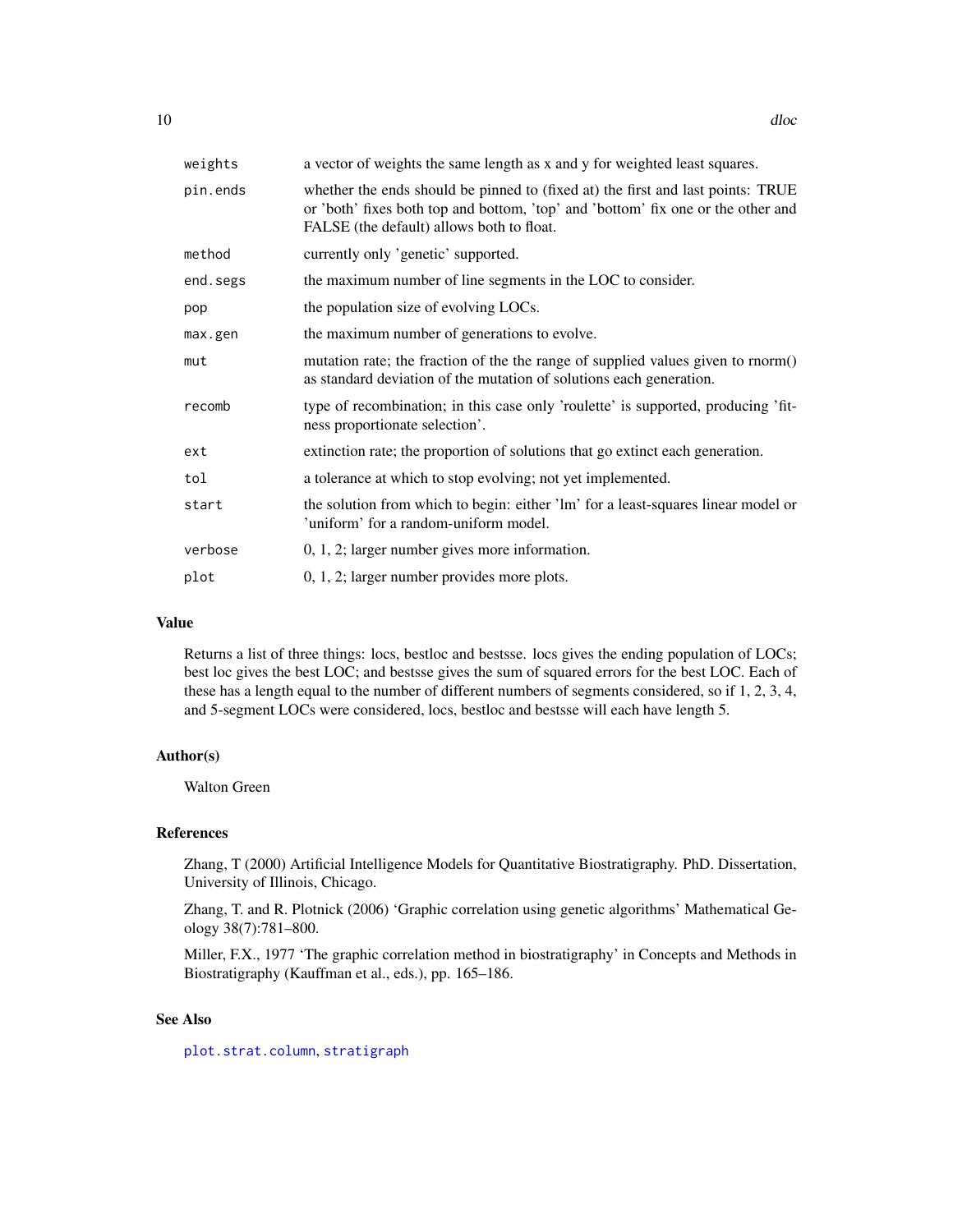<span id="page-9-0"></span>

| weights  | a vector of weights the same length as x and y for weighted least squares.                                                                                                                                       |
|----------|------------------------------------------------------------------------------------------------------------------------------------------------------------------------------------------------------------------|
| pin.ends | whether the ends should be pinned to (fixed at) the first and last points: TRUE<br>or 'both' fixes both top and bottom, 'top' and 'bottom' fix one or the other and<br>FALSE (the default) allows both to float. |
| method   | currently only 'genetic' supported.                                                                                                                                                                              |
| end.segs | the maximum number of line segments in the LOC to consider.                                                                                                                                                      |
| pop      | the population size of evolving LOCs.                                                                                                                                                                            |
| max.gen  | the maximum number of generations to evolve.                                                                                                                                                                     |
| mut      | mutation rate; the fraction of the the range of supplied values given to rnorm()<br>as standard deviation of the mutation of solutions each generation.                                                          |
| recomb   | type of recombination; in this case only 'roulette' is supported, producing 'fit-<br>ness proportionate selection'.                                                                                              |
| ext      | extinction rate; the proportion of solutions that go extinct each generation.                                                                                                                                    |
| tol      | a tolerance at which to stop evolving; not yet implemented.                                                                                                                                                      |
| start    | the solution from which to begin: either 'lm' for a least-squares linear model or<br>'uniform' for a random-uniform model.                                                                                       |
| verbose  | $0, 1, 2$ ; larger number gives more information.                                                                                                                                                                |
| plot     | $0, 1, 2$ ; larger number provides more plots.                                                                                                                                                                   |

#### Value

Returns a list of three things: locs, bestloc and bestsse. locs gives the ending population of LOCs; best loc gives the best LOC; and bestsse gives the sum of squared errors for the best LOC. Each of these has a length equal to the number of different numbers of segments considered, so if 1, 2, 3, 4, and 5-segment LOCs were considered, locs, bestloc and bestsse will each have length 5.

#### Author(s)

Walton Green

#### References

Zhang, T (2000) Artificial Intelligence Models for Quantitative Biostratigraphy. PhD. Dissertation, University of Illinois, Chicago.

Zhang, T. and R. Plotnick (2006) 'Graphic correlation using genetic algorithms' Mathematical Geology 38(7):781–800.

Miller, F.X., 1977 'The graphic correlation method in biostratigraphy' in Concepts and Methods in Biostratigraphy (Kauffman et al., eds.), pp. 165–186.

# See Also

[plot.strat.column](#page-16-1), [stratigraph](#page-1-1)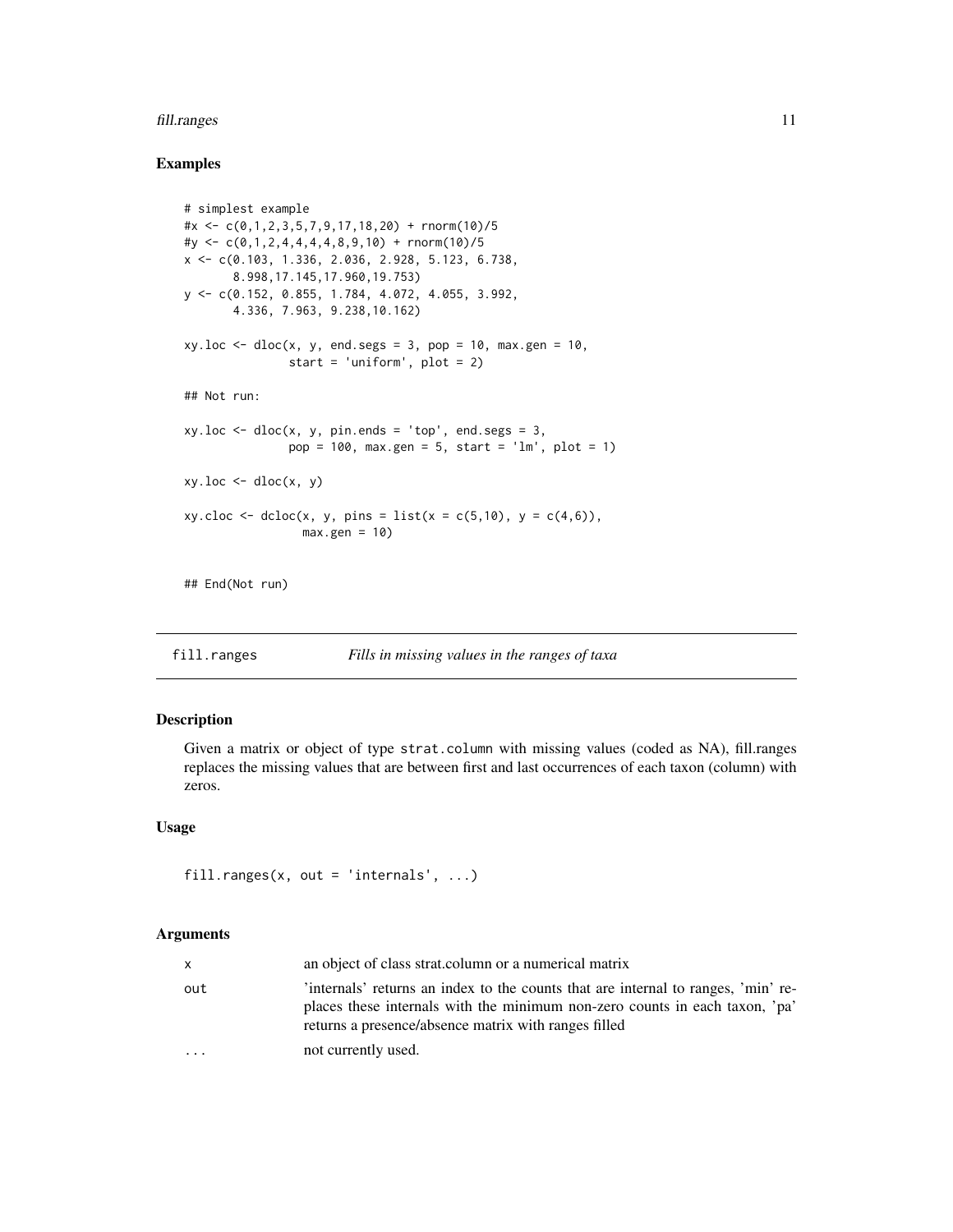#### <span id="page-10-0"></span>fill.ranges 11

# Examples

```
# simplest example
#x <- c(0,1,2,3,5,7,9,17,18,20) + rnorm(10)/5
#y <- c(0,1,2,4,4,4,4,8,9,10) + rnorm(10)/5
x <- c(0.103, 1.336, 2.036, 2.928, 5.123, 6.738,
       8.998,17.145,17.960,19.753)
y <- c(0.152, 0.855, 1.784, 4.072, 4.055, 3.992,
       4.336, 7.963, 9.238,10.162)
xy.loc \leftarrow dloc(x, y, end.segs = 3, pop = 10, max.gen = 10,start = 'uniform', plot = 2)
## Not run:
xy.loc \leq dloc(x, y, pin.ends = 'top', end.segs = 3,pop = 100, max.gen = 5, start = 'lm', plot = 1)
xy.loc \leq dloc(x, y)xy.close \leftarrow dclock(x, y, pins = list(x = c(5, 10), y = c(4, 6)),max.gen = 10
```
## End(Not run)

<span id="page-10-1"></span>fill.ranges *Fills in missing values in the ranges of taxa*

# Description

Given a matrix or object of type strat.column with missing values (coded as NA), fill.ranges replaces the missing values that are between first and last occurrences of each taxon (column) with zeros.

#### Usage

fill.ranges(x, out = 'internals',  $\ldots$ )

# Arguments

| X   | an object of class strat.column or a numerical matrix                                                                                                                                                                   |
|-----|-------------------------------------------------------------------------------------------------------------------------------------------------------------------------------------------------------------------------|
| out | internals' returns an index to the counts that are internal to ranges, 'min' re-<br>places these internals with the minimum non-zero counts in each taxon, 'pa'<br>returns a presence/absence matrix with ranges filled |
| .   | not currently used.                                                                                                                                                                                                     |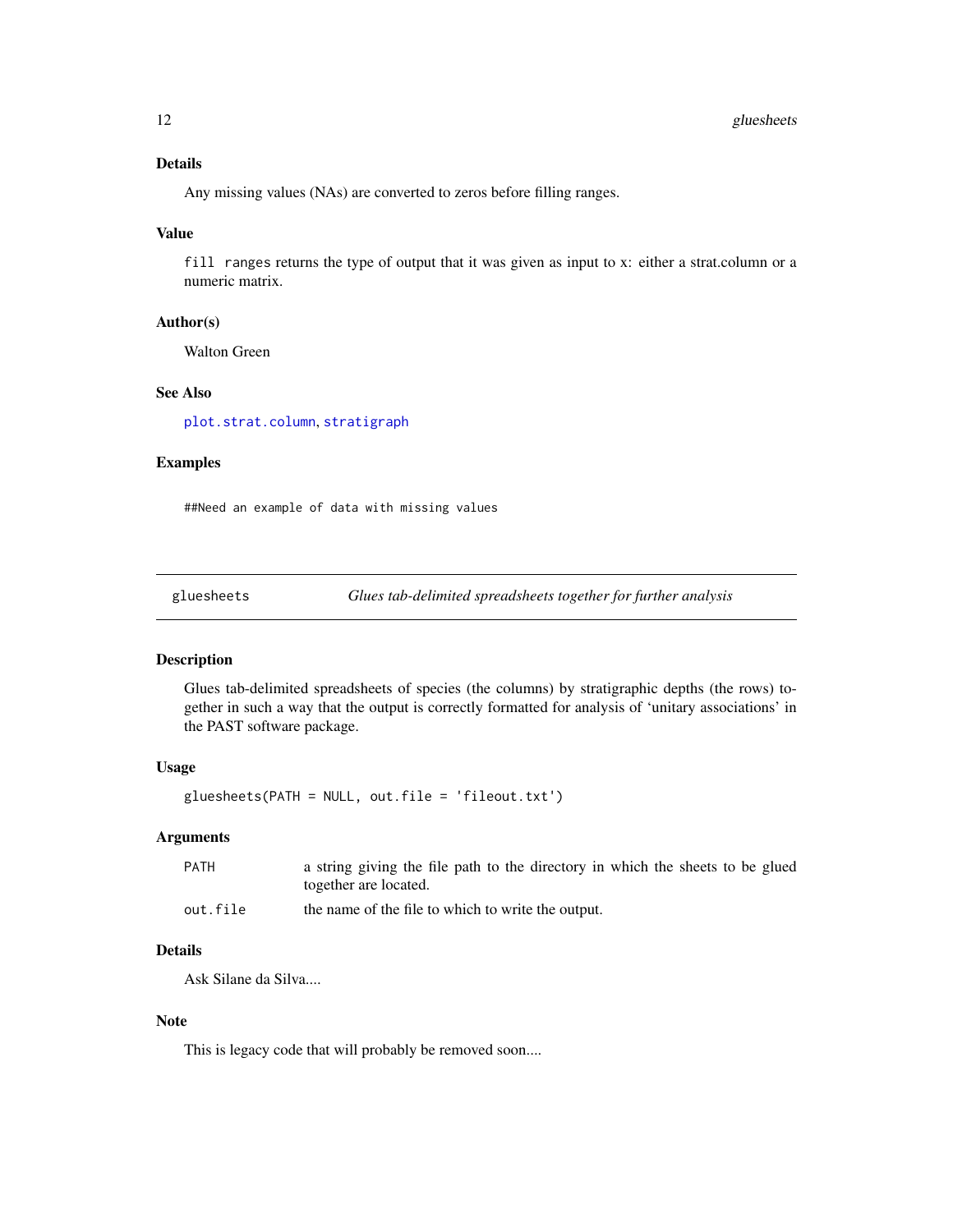# <span id="page-11-0"></span>Details

Any missing values (NAs) are converted to zeros before filling ranges.

#### Value

fill ranges returns the type of output that it was given as input to x: either a strat.column or a numeric matrix.

# Author(s)

Walton Green

# See Also

[plot.strat.column](#page-16-1), [stratigraph](#page-1-1)

#### Examples

##Need an example of data with missing values

<span id="page-11-1"></span>gluesheets *Glues tab-delimited spreadsheets together for further analysis*

#### Description

Glues tab-delimited spreadsheets of species (the columns) by stratigraphic depths (the rows) together in such a way that the output is correctly formatted for analysis of 'unitary associations' in the PAST software package.

#### Usage

gluesheets(PATH = NULL, out.file = 'fileout.txt')

# Arguments

| <b>PATH</b> | a string giving the file path to the directory in which the sheets to be glued |
|-------------|--------------------------------------------------------------------------------|
|             | together are located.                                                          |
| out.file    | the name of the file to which to write the output.                             |

# Details

Ask Silane da Silva....

#### Note

This is legacy code that will probably be removed soon....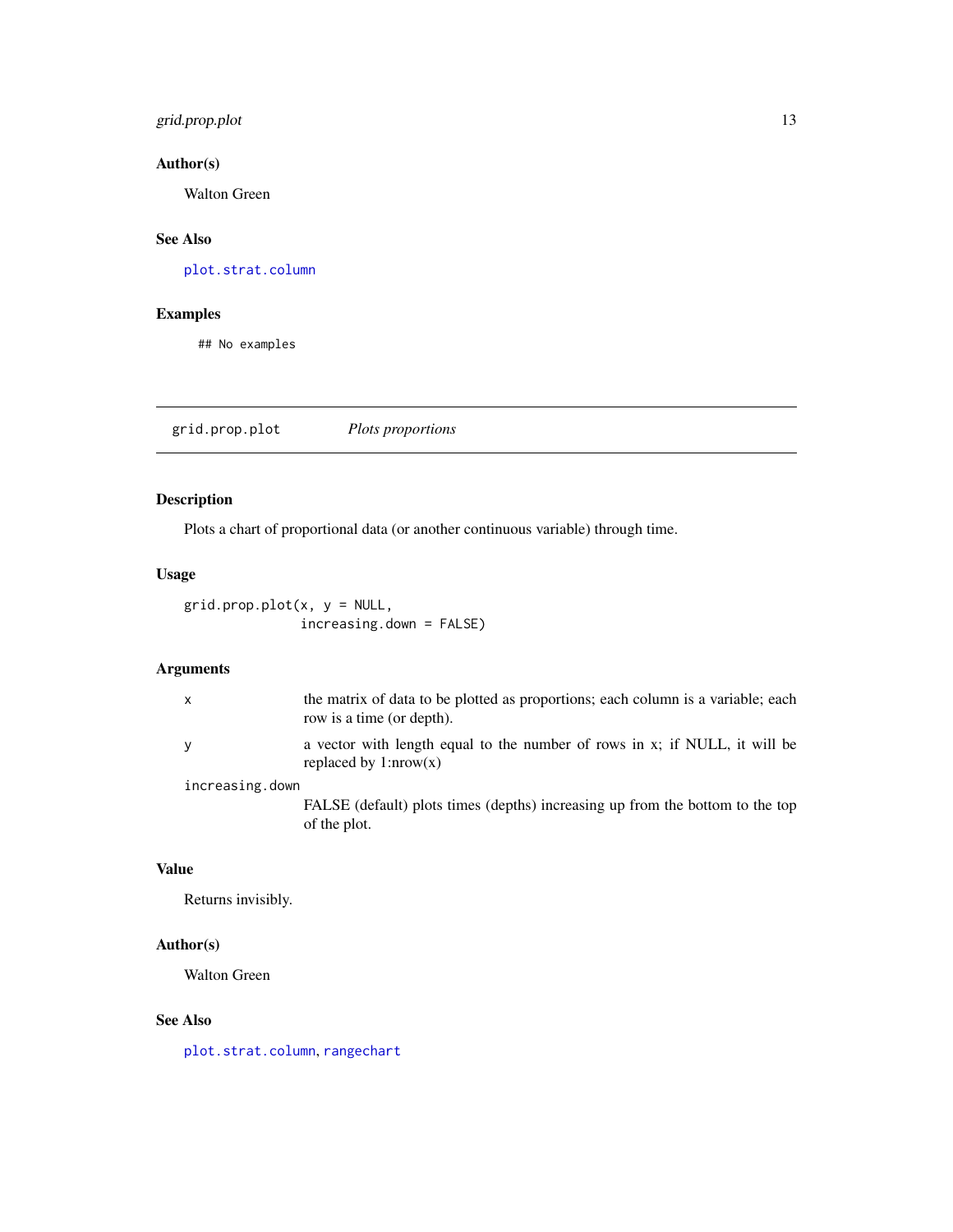# <span id="page-12-0"></span>grid.prop.plot 13

# Author(s)

Walton Green

# See Also

[plot.strat.column](#page-16-1)

# Examples

## No examples

grid.prop.plot *Plots proportions*

# Description

Plots a chart of proportional data (or another continuous variable) through time.

## Usage

 $grid.pop.plot(x, y = NULL,$ increasing.down = FALSE)

# Arguments

| x               | the matrix of data to be plotted as proportions; each column is a variable; each<br>row is a time (or depth). |
|-----------------|---------------------------------------------------------------------------------------------------------------|
| V               | a vector with length equal to the number of rows in x; if NULL, it will be<br>replaced by $1: nrow(x)$        |
| increasing.down |                                                                                                               |

FALSE (default) plots times (depths) increasing up from the bottom to the top of the plot.

# Value

Returns invisibly.

# Author(s)

Walton Green

# See Also

[plot.strat.column](#page-16-1), [rangechart](#page-20-1)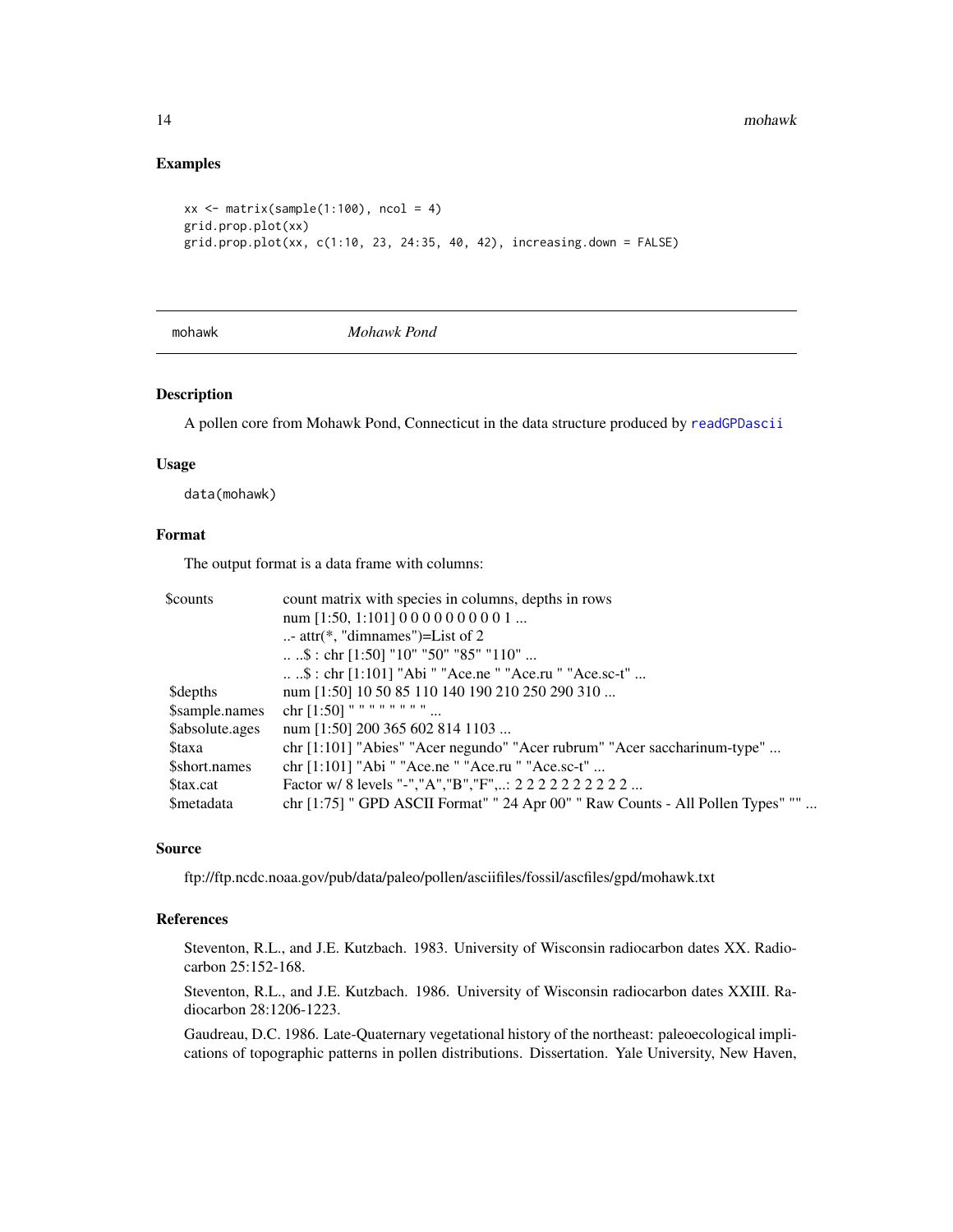#### Examples

```
xx \le matrix(sample(1:100), ncol = 4)
grid.prop.plot(xx)
grid.prop.plot(xx, c(1:10, 23, 24:35, 40, 42), increasing.down = FALSE)
```
<span id="page-13-1"></span>

mohawk *Mohawk Pond*

# Description

A pollen core from Mohawk Pond, Connecticut in the data structure produced by [readGPDascii](#page-22-2)

#### Usage

data(mohawk)

# Format

The output format is a data frame with columns:

| <b>Scounts</b>   | count matrix with species in columns, depths in rows                              |  |  |
|------------------|-----------------------------------------------------------------------------------|--|--|
|                  | num [1:50, 1:101] $0\,0\,0\,0\,0\,0\,0\,0\,1\,$                                   |  |  |
|                  | - attr( $*$ , "dimnames")=List of 2                                               |  |  |
|                  | $\ldots$ \$: chr [1:50] "10" "50" "85" "110"                                      |  |  |
|                  | \$ : chr [1:101] "Abi " "Ace.ne " "Ace.ru " "Ace.sc-t"                            |  |  |
| <b>Sdepths</b>   | num [1:50] 10 50 85 110 140 190 210 250 290 310                                   |  |  |
| \$sample.names   | chr $[1:50]$ " " " " " " "                                                        |  |  |
| \$absolute.ages  | num [1:50] 200 365 602 814 1103                                                   |  |  |
| <b>Staxa</b>     | $chr[1:101]$ "Abies" "Acer negundo" "Acer rubrum" "Acer saccharinum-type"         |  |  |
| \$short.names    | chr [1:101] "Abi " "Ace.ne " "Ace.ru " "Ace.sc-t"                                 |  |  |
| \$tax.cat        | Factor w/ 8 levels "-","A","B","F",: 2 2 2 2 2 2 2 2 2 2                          |  |  |
| <i>Smetadata</i> | chr $[1:75]$ " GPD ASCII Format" " 24 Apr 00" " Raw Counts - All Pollen Types" "" |  |  |

#### Source

ftp://ftp.ncdc.noaa.gov/pub/data/paleo/pollen/asciifiles/fossil/ascfiles/gpd/mohawk.txt

#### References

Steventon, R.L., and J.E. Kutzbach. 1983. University of Wisconsin radiocarbon dates XX. Radiocarbon 25:152-168.

Steventon, R.L., and J.E. Kutzbach. 1986. University of Wisconsin radiocarbon dates XXIII. Radiocarbon 28:1206-1223.

Gaudreau, D.C. 1986. Late-Quaternary vegetational history of the northeast: paleoecological implications of topographic patterns in pollen distributions. Dissertation. Yale University, New Haven,

<span id="page-13-0"></span>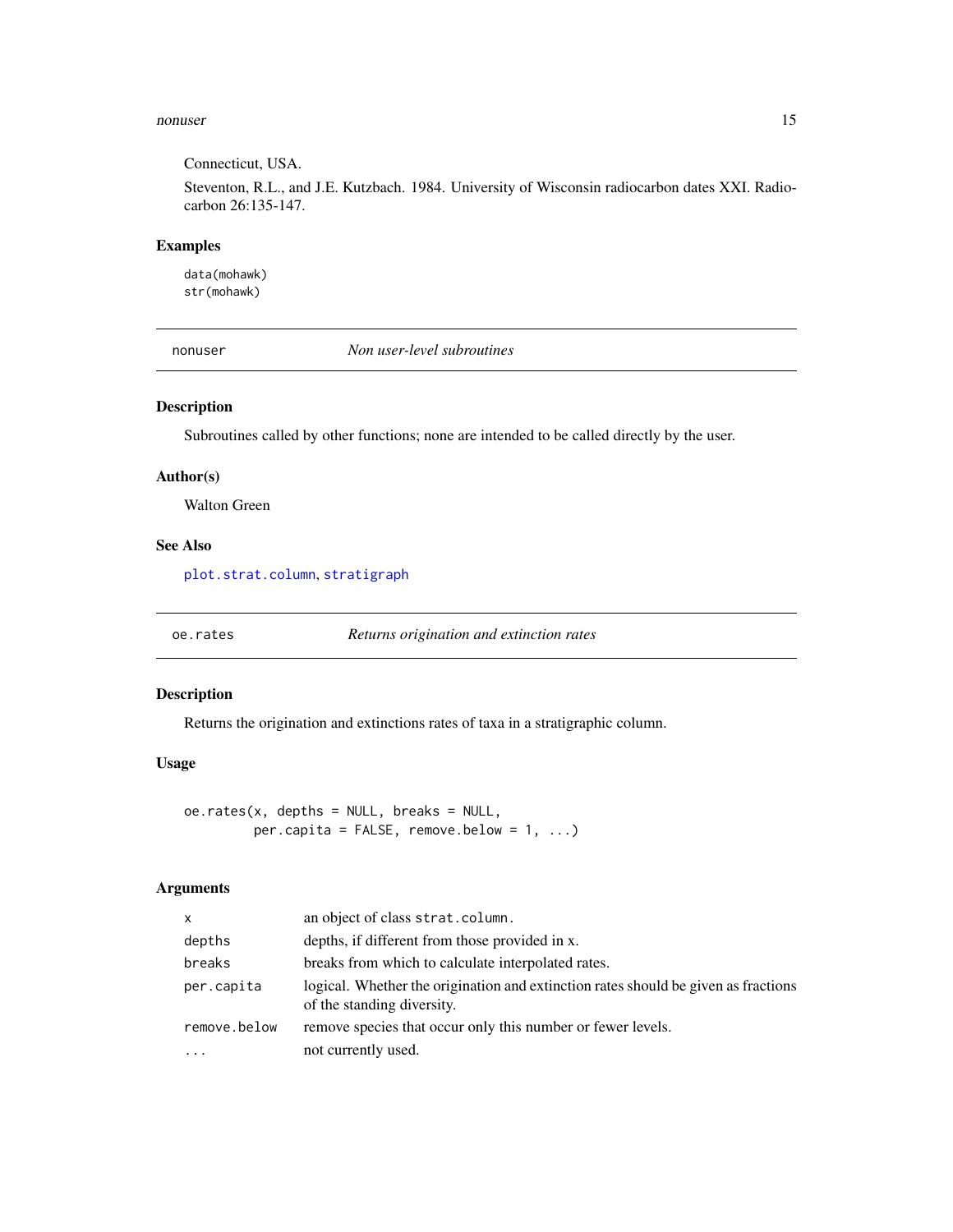#### <span id="page-14-0"></span>nonuser and the contract of the contract of the contract of the contract of the contract of the contract of the contract of the contract of the contract of the contract of the contract of the contract of the contract of th

Connecticut, USA.

Steventon, R.L., and J.E. Kutzbach. 1984. University of Wisconsin radiocarbon dates XXI. Radiocarbon 26:135-147.

#### Examples

data(mohawk) str(mohawk)

nonuser *Non user-level subroutines*

#### Description

Subroutines called by other functions; none are intended to be called directly by the user.

#### Author(s)

Walton Green

#### See Also

[plot.strat.column](#page-16-1), [stratigraph](#page-1-1)

<span id="page-14-1"></span>oe.rates *Returns origination and extinction rates*

# Description

Returns the origination and extinctions rates of taxa in a stratigraphic column.

# Usage

oe.rates(x, depths = NULL, breaks = NULL, per.capita =  $FALSE, remove. below = 1, ...$ 

# Arguments

| X            | an object of class strat.column.                                                                                 |
|--------------|------------------------------------------------------------------------------------------------------------------|
| depths       | depths, if different from those provided in x.                                                                   |
| breaks       | breaks from which to calculate interpolated rates.                                                               |
| per.capita   | logical. Whether the origination and extinction rates should be given as fractions<br>of the standing diversity. |
| remove.below | remove species that occur only this number or fewer levels.                                                      |
| $\cdots$     | not currently used.                                                                                              |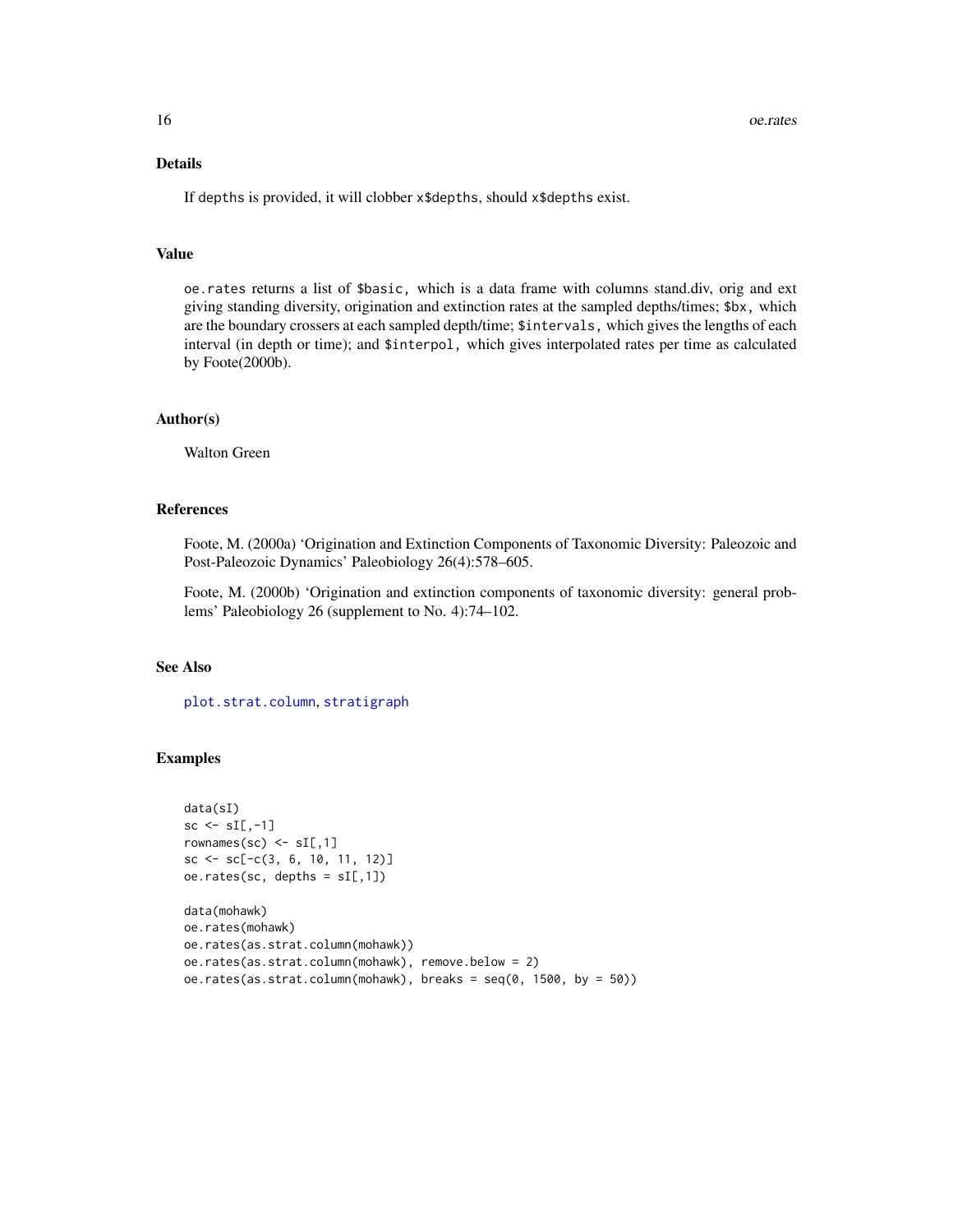# <span id="page-15-0"></span>Details

If depths is provided, it will clobber x\$depths, should x\$depths exist.

#### Value

oe.rates returns a list of \$basic, which is a data frame with columns stand.div, orig and ext giving standing diversity, origination and extinction rates at the sampled depths/times; \$bx, which are the boundary crossers at each sampled depth/time; \$intervals, which gives the lengths of each interval (in depth or time); and \$interpol, which gives interpolated rates per time as calculated by Foote(2000b).

#### Author(s)

Walton Green

#### References

Foote, M. (2000a) 'Origination and Extinction Components of Taxonomic Diversity: Paleozoic and Post-Paleozoic Dynamics' Paleobiology 26(4):578–605.

Foote, M. (2000b) 'Origination and extinction components of taxonomic diversity: general problems' Paleobiology 26 (supplement to No. 4):74–102.

# See Also

[plot.strat.column](#page-16-1), [stratigraph](#page-1-1)

#### Examples

```
data(sI)
sc \le sI[,-1]
rownames(sc) \leq sI[,1]
sc \leftarrow sc[-c(3, 6, 10, 11, 12)]oe.rates(sc, depths = sl[,1])
data(mohawk)
oe.rates(mohawk)
oe.rates(as.strat.column(mohawk))
oe.rates(as.strat.column(mohawk), remove.below = 2)
oe.rates(as.strat.column(mohawk), breaks = seq(0, 1500, by = 50))
```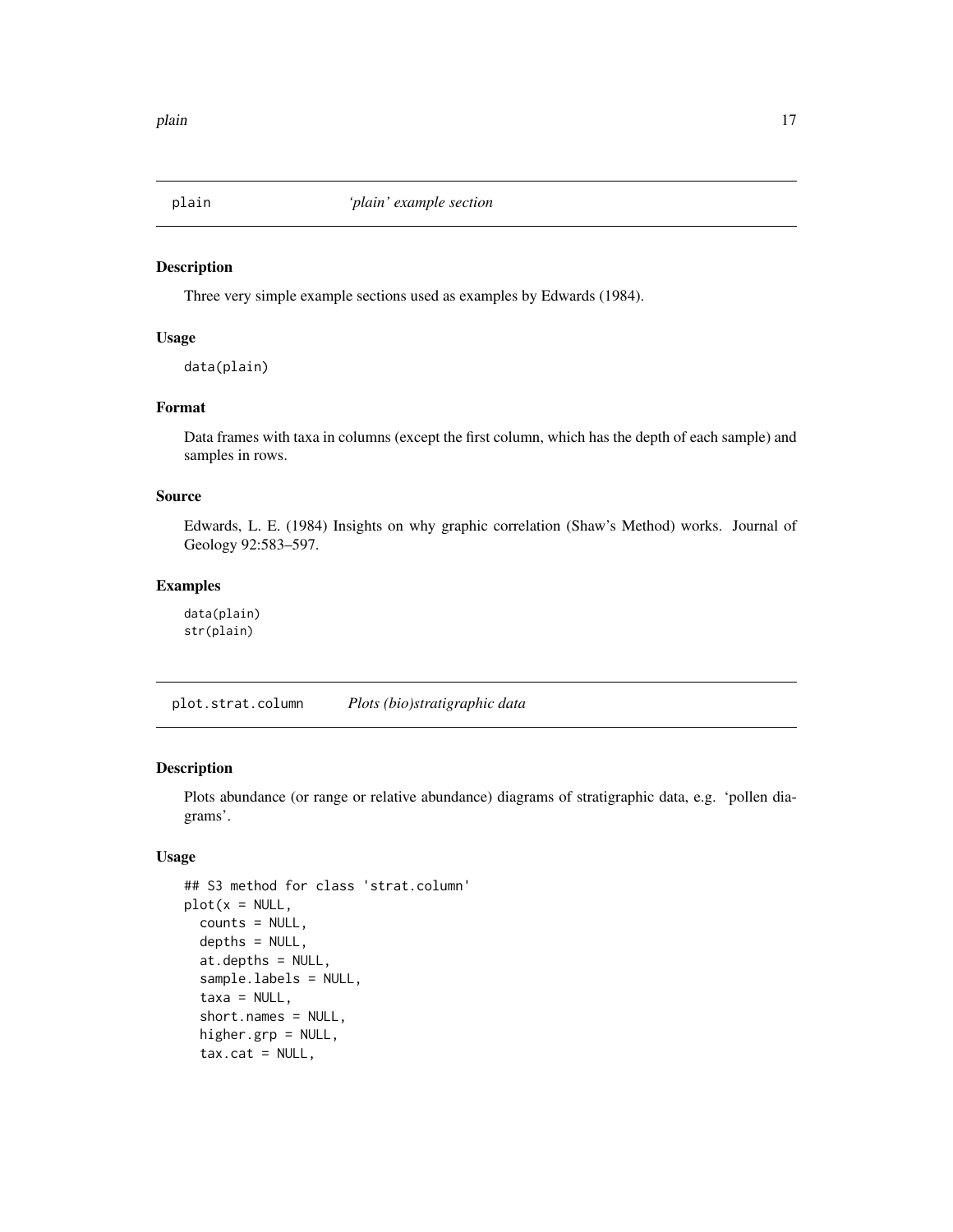<span id="page-16-2"></span><span id="page-16-0"></span>

#### <span id="page-16-3"></span>Description

Three very simple example sections used as examples by Edwards (1984).

#### Usage

data(plain)

# Format

Data frames with taxa in columns (except the first column, which has the depth of each sample) and samples in rows.

#### Source

Edwards, L. E. (1984) Insights on why graphic correlation (Shaw's Method) works. Journal of Geology 92:583–597.

# Examples

data(plain) str(plain)

<span id="page-16-1"></span>plot.strat.column *Plots (bio)stratigraphic data*

# Description

Plots abundance (or range or relative abundance) diagrams of stratigraphic data, e.g. 'pollen diagrams'.

#### Usage

```
## S3 method for class 'strat.column'
plot(x = NULL,counts = NULL,depths = NULL,
  at.depths = NULL,
  sample.labels = NULL,
  taxa = NULL,short.names = NULL,
  higher.grp = NULL,
  tax.cat = NULL,
```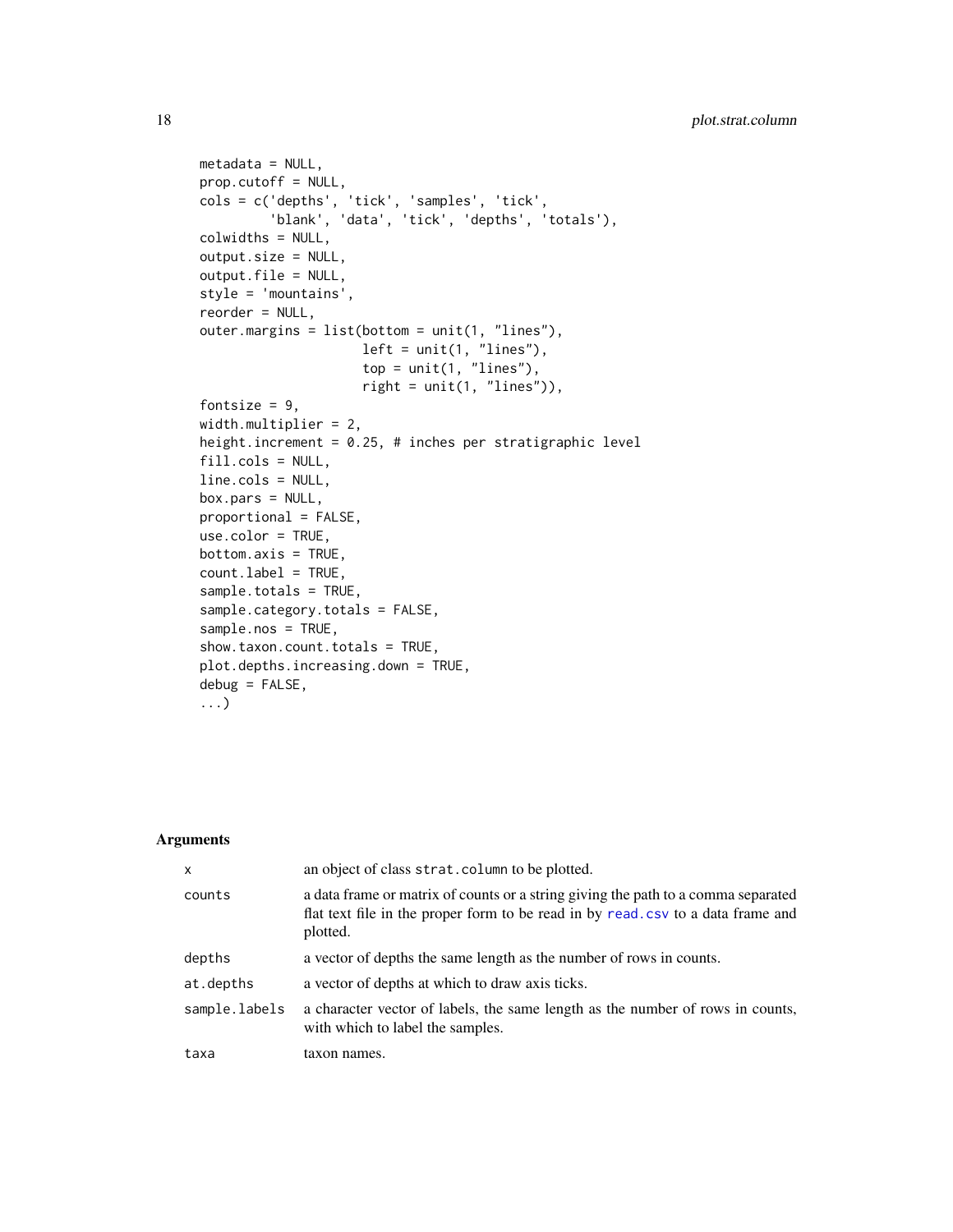```
metadata = NULL,
prop.cutoff = NULL,
cols = c('depths', 'tick', 'samples', 'tick',
         'blank', 'data', 'tick', 'depths', 'totals'),
colwidths = NULL,
output.size = NULL,
output.file = NULL,
style = 'mountains',
reorder = NULL,
outer.margins = list(bottom = unit(1, "lines"),
                     left = unit(1, 'lines'),top = unit(1, 'lines'),right = unit(1, 'lines'')),
fontsize = 9,
width.multiplier = 2,
height.increment = 0.25, # inches per stratigraphic level
fill.cols = NULL,
line.cols = NULL,
box.pars = NULL,
proportional = FALSE,
use.color = TRUE,
bottom.axis = TRUE,
count.label = TRUE,
sample.totals = TRUE,
sample.category.totals = FALSE,
sample.nos = TRUE,
show.taxon.count.totals = TRUE,
plot.depths.increasing.down = TRUE,
debug = FALSE,...)
```
# Arguments

| $\mathsf{x}$  | an object of class strat. column to be plotted.                                                                                                                                   |  |
|---------------|-----------------------------------------------------------------------------------------------------------------------------------------------------------------------------------|--|
| counts        | a data frame or matrix of counts or a string giving the path to a comma separated<br>flat text file in the proper form to be read in by read, csv to a data frame and<br>plotted. |  |
| depths        | a vector of depths the same length as the number of rows in counts.                                                                                                               |  |
| at.depths     | a vector of depths at which to draw axis ticks.                                                                                                                                   |  |
| sample.labels | a character vector of labels, the same length as the number of rows in counts,<br>with which to label the samples.                                                                |  |
| taxa          | taxon names.                                                                                                                                                                      |  |

<span id="page-17-0"></span>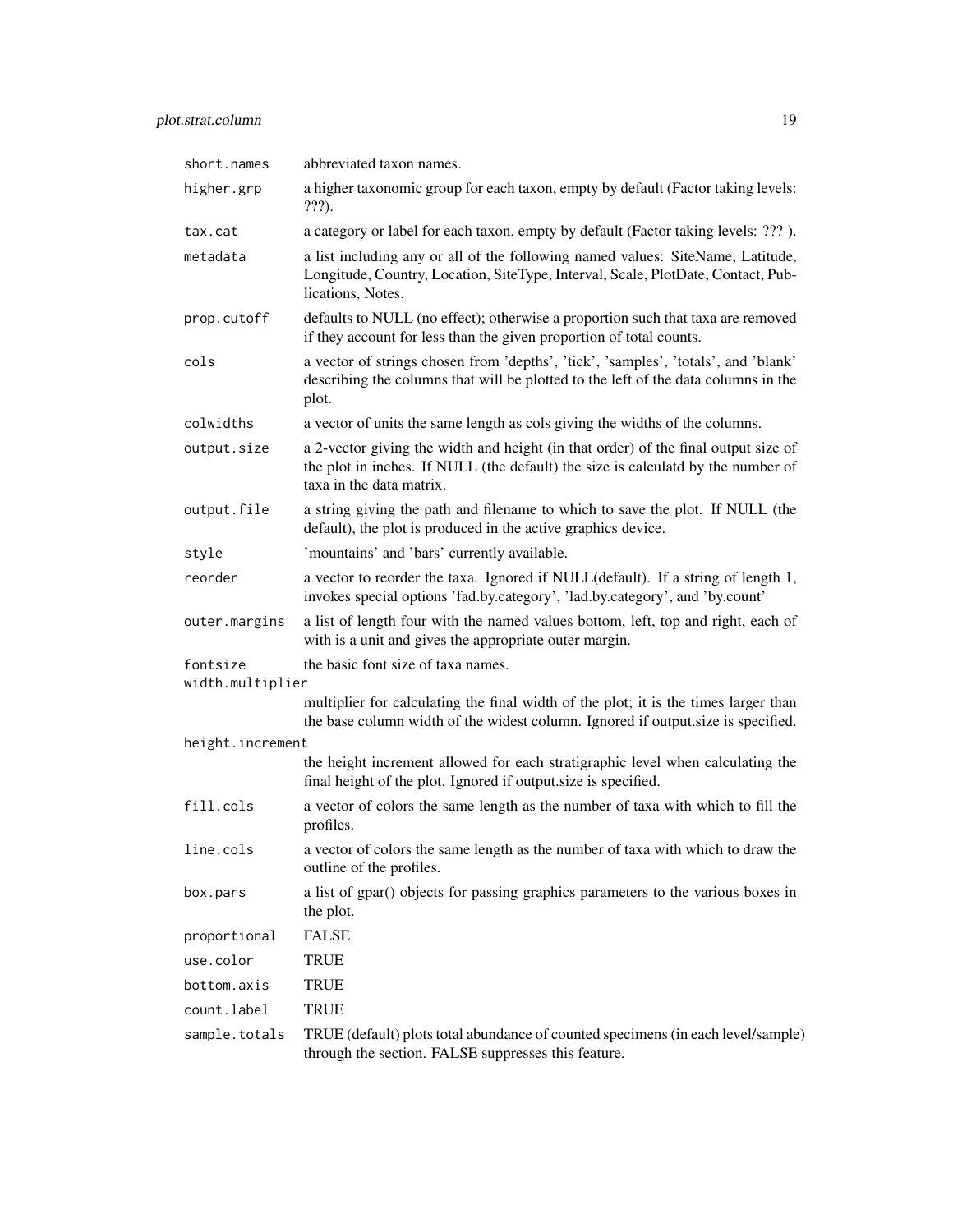| short.names                  | abbreviated taxon names.                                                                                                                                                                           |  |
|------------------------------|----------------------------------------------------------------------------------------------------------------------------------------------------------------------------------------------------|--|
| higher.grp                   | a higher taxonomic group for each taxon, empty by default (Factor taking levels:<br>???).                                                                                                          |  |
| tax.cat                      | a category or label for each taxon, empty by default (Factor taking levels: ???).                                                                                                                  |  |
| metadata                     | a list including any or all of the following named values: SiteName, Latitude,<br>Longitude, Country, Location, SiteType, Interval, Scale, PlotDate, Contact, Pub-<br>lications, Notes.            |  |
| prop.cutoff                  | defaults to NULL (no effect); otherwise a proportion such that taxa are removed<br>if they account for less than the given proportion of total counts.                                             |  |
| cols                         | a vector of strings chosen from 'depths', 'tick', 'samples', 'totals', and 'blank'<br>describing the columns that will be plotted to the left of the data columns in the<br>plot.                  |  |
| colwidths                    | a vector of units the same length as cols giving the widths of the columns.                                                                                                                        |  |
| output.size                  | a 2-vector giving the width and height (in that order) of the final output size of<br>the plot in inches. If NULL (the default) the size is calculatd by the number of<br>taxa in the data matrix. |  |
| output.file                  | a string giving the path and filename to which to save the plot. If NULL (the<br>default), the plot is produced in the active graphics device.                                                     |  |
| style                        | 'mountains' and 'bars' currently available.                                                                                                                                                        |  |
| reorder                      | a vector to reorder the taxa. Ignored if NULL(default). If a string of length 1,<br>invokes special options 'fad.by.category', 'lad.by.category', and 'by.count'                                   |  |
| outer.margins                | a list of length four with the named values bottom, left, top and right, each of<br>with is a unit and gives the appropriate outer margin.                                                         |  |
| fontsize<br>width.multiplier | the basic font size of taxa names.                                                                                                                                                                 |  |
|                              | multiplier for calculating the final width of the plot; it is the times larger than<br>the base column width of the widest column. Ignored if output.size is specified.                            |  |
| height.increment             |                                                                                                                                                                                                    |  |
|                              | the height increment allowed for each stratigraphic level when calculating the<br>final height of the plot. Ignored if output size is specified.                                                   |  |
| fill.cols                    | a vector of colors the same length as the number of taxa with which to fill the<br>profiles.                                                                                                       |  |
| line.cols                    | a vector of colors the same length as the number of taxa with which to draw the<br>outline of the profiles.                                                                                        |  |
| box.pars                     | a list of gpar() objects for passing graphics parameters to the various boxes in<br>the plot.                                                                                                      |  |
| proportional                 | <b>FALSE</b>                                                                                                                                                                                       |  |
| use.color                    | <b>TRUE</b>                                                                                                                                                                                        |  |
| bottom.axis                  | <b>TRUE</b>                                                                                                                                                                                        |  |
| count.label                  | <b>TRUE</b>                                                                                                                                                                                        |  |
| sample.totals                | TRUE (default) plots total abundance of counted specimens (in each level/sample)<br>through the section. FALSE suppresses this feature.                                                            |  |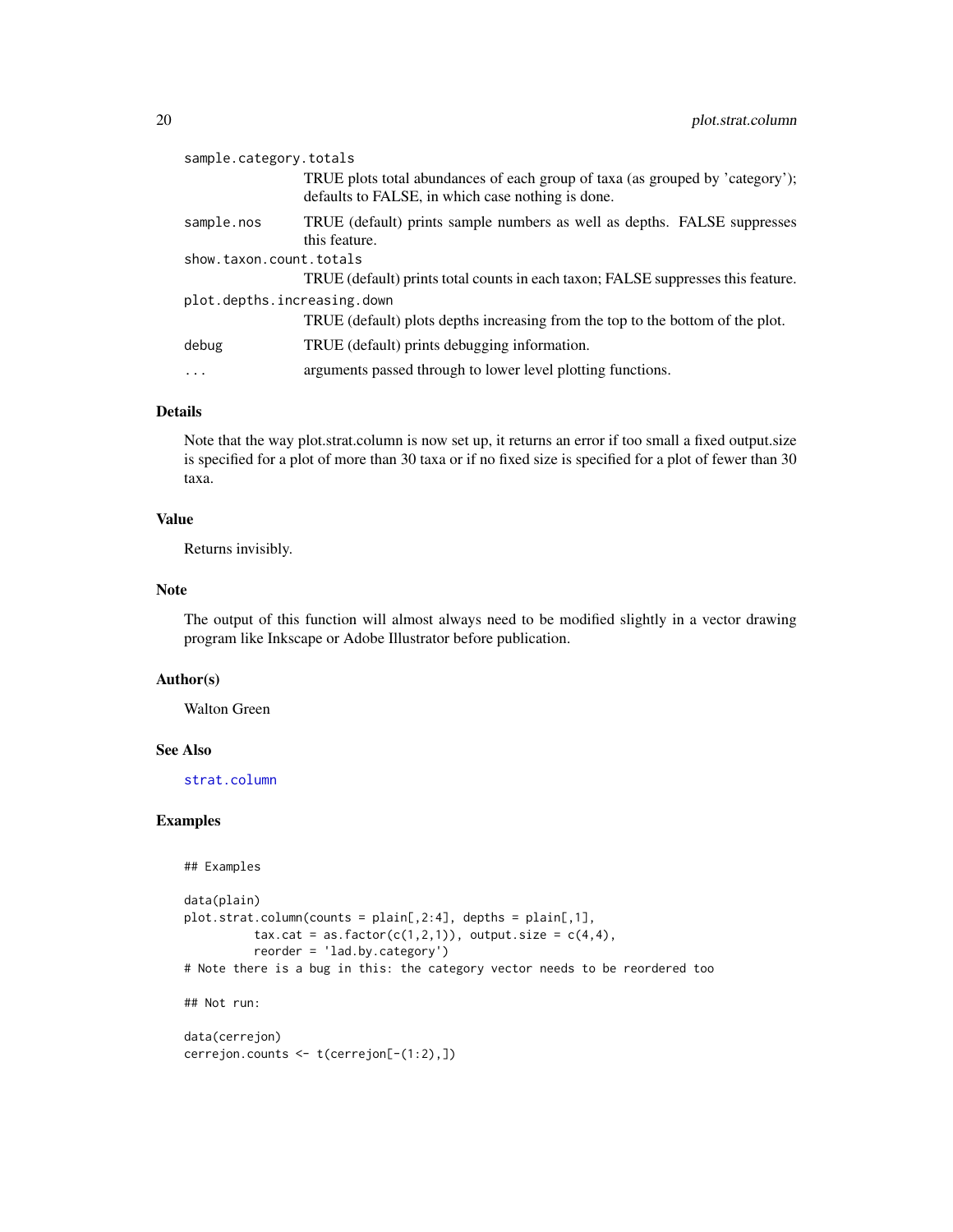<span id="page-19-0"></span>

| sample.category.totals      |                                                                                                                                    |  |
|-----------------------------|------------------------------------------------------------------------------------------------------------------------------------|--|
|                             | TRUE plots total abundances of each group of taxa (as grouped by 'category');<br>defaults to FALSE, in which case nothing is done. |  |
| sample.nos                  | TRUE (default) prints sample numbers as well as depths. FALSE suppresses<br>this feature.                                          |  |
| show.taxon.count.totals     |                                                                                                                                    |  |
|                             | TRUE (default) prints total counts in each taxon; FALSE suppresses this feature.                                                   |  |
| plot.depths.increasing.down |                                                                                                                                    |  |
|                             | TRUE (default) plots depths increasing from the top to the bottom of the plot.                                                     |  |
| debug                       | TRUE (default) prints debugging information.                                                                                       |  |
| $\ddots$                    | arguments passed through to lower level plotting functions.                                                                        |  |
|                             |                                                                                                                                    |  |

## Details

Note that the way plot.strat.column is now set up, it returns an error if too small a fixed output.size is specified for a plot of more than 30 taxa or if no fixed size is specified for a plot of fewer than 30 taxa.

# Value

Returns invisibly.

# Note

The output of this function will almost always need to be modified slightly in a vector drawing program like Inkscape or Adobe Illustrator before publication.

# Author(s)

Walton Green

#### See Also

[strat.column](#page-25-1)

# Examples

```
## Examples
```

```
data(plain)
plot.strat.column(counts = plain[,2:4], depths = plain[,1],
         tax.cat = as.factor(c(1,2,1)), output.size = c(4,4),
         reorder = 'lad.by.category')
# Note there is a bug in this: the category vector needs to be reordered too
## Not run:
data(cerrejon)
cerrejon.counts <- t(cerrejon[-(1:2),])
```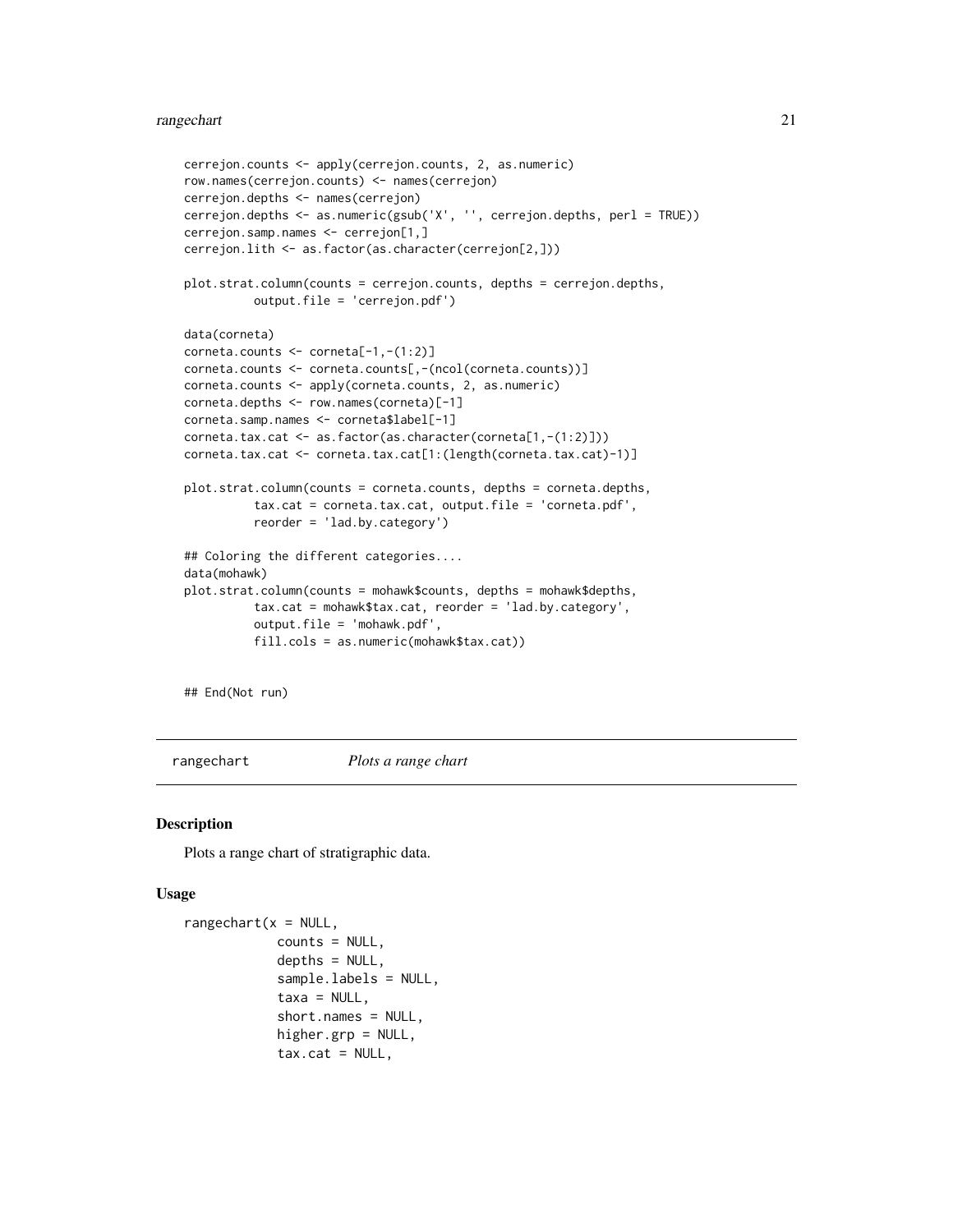#### <span id="page-20-0"></span>rangechart 21 and 22 and 22 and 22 and 22 and 22 and 22 and 23 and 23 and 23 and 23 and 24 and 25 and 25 and 25

```
cerrejon.counts <- apply(cerrejon.counts, 2, as.numeric)
row.names(cerrejon.counts) <- names(cerrejon)
cerrejon.depths <- names(cerrejon)
cerrejon.depths <- as.numeric(gsub('X', '', cerrejon.depths, perl = TRUE))
cerrejon.samp.names <- cerrejon[1,]
cerrejon.lith <- as.factor(as.character(cerrejon[2,]))
plot.strat.column(counts = cerrejon.counts, depths = cerrejon.depths,
          output.file = 'cerrejon.pdf')
data(corneta)
corneta.counts <- corneta[-1,-(1:2)]
corneta.counts <- corneta.counts[,-(ncol(corneta.counts))]
corneta.counts <- apply(corneta.counts, 2, as.numeric)
corneta.depths <- row.names(corneta)[-1]
corneta.samp.names <- corneta$label[-1]
corneta.tax.cat <- as.factor(as.character(corneta[1,-(1:2)]))
corneta.tax.cat <- corneta.tax.cat[1:(length(corneta.tax.cat)-1)]
plot.strat.column(counts = corneta.counts, depths = corneta.depths,
          tax.cat = corneta.tax.cat, output.file = 'corneta.pdf',
          reorder = 'lad.by.category')
## Coloring the different categories....
data(mohawk)
plot.strat.column(counts = mohawk$counts, depths = mohawk$depths,
          tax.cat = mohawk$tax.cat, reorder = 'lad.by.category',
          output.file = 'mohawk.pdf',
          fill.cols = as.numeric(mohawk$tax.cat))
```
## End(Not run)

<span id="page-20-1"></span>rangechart *Plots a range chart*

#### Description

Plots a range chart of stratigraphic data.

#### Usage

```
rangechart(x = NULL,counts = NULL,
            depths = NULL,
            sample.labels = NULL,
            taxa = NULL,
            short.names = NULL,
            higher.grp = NULL,
            tax.cat = NULL,
```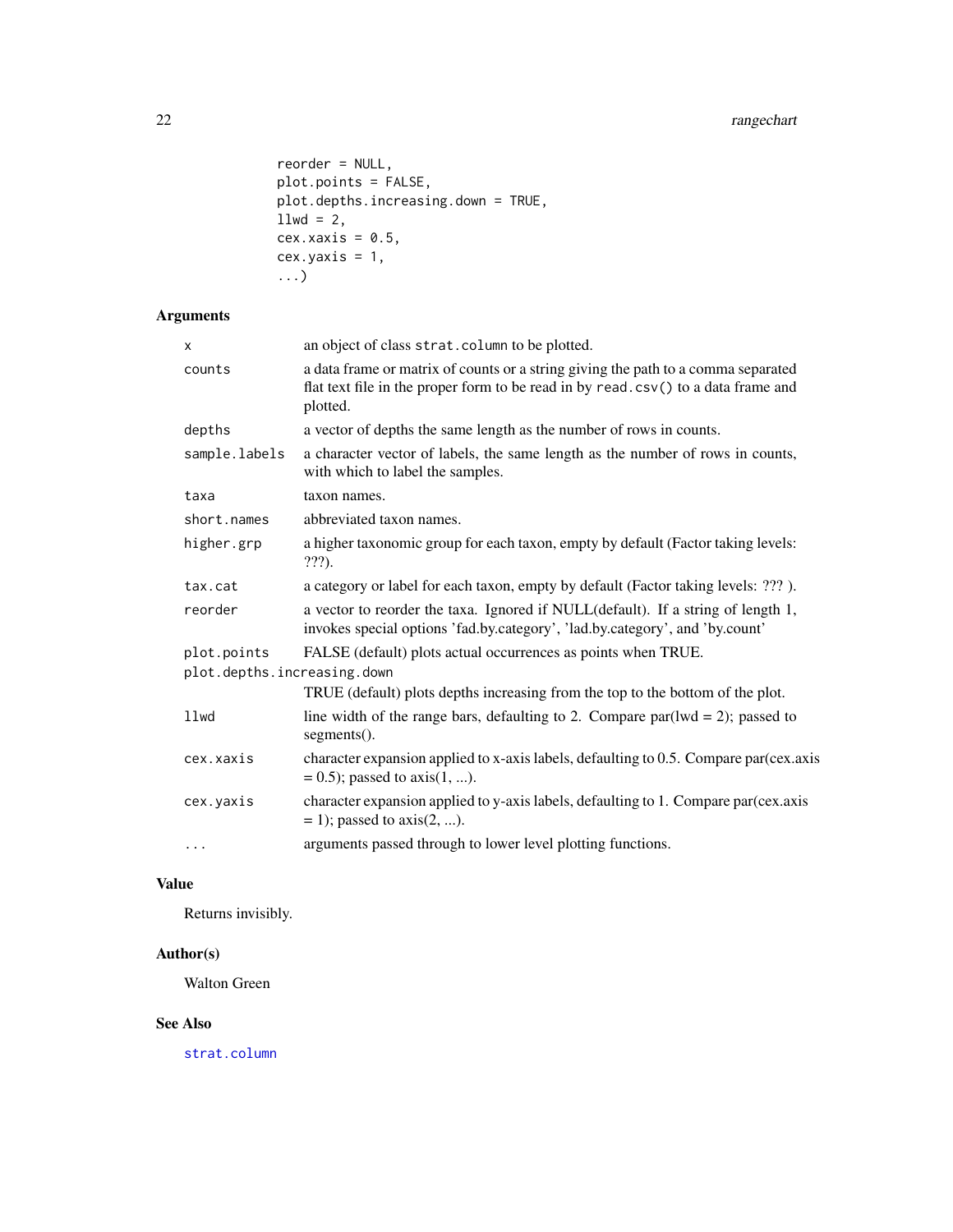```
reorder = NULL,
plot.points = FALSE,
plot.depths.increasing.down = TRUE,
11wd = 2,
cex.xaxis = 0.5,
cex.yaxis = 1,...)
```
# Arguments

| x                           | an object of class strat.column to be plotted.                                                                                                                                     |  |
|-----------------------------|------------------------------------------------------------------------------------------------------------------------------------------------------------------------------------|--|
| counts                      | a data frame or matrix of counts or a string giving the path to a comma separated<br>flat text file in the proper form to be read in by read.csv() to a data frame and<br>plotted. |  |
| depths                      | a vector of depths the same length as the number of rows in counts.                                                                                                                |  |
| sample.labels               | a character vector of labels, the same length as the number of rows in counts,<br>with which to label the samples.                                                                 |  |
| taxa                        | taxon names.                                                                                                                                                                       |  |
| short.names                 | abbreviated taxon names.                                                                                                                                                           |  |
| higher.grp                  | a higher taxonomic group for each taxon, empty by default (Factor taking levels:<br>???).                                                                                          |  |
| tax.cat                     | a category or label for each taxon, empty by default (Factor taking levels: ???).                                                                                                  |  |
| reorder                     | a vector to reorder the taxa. Ignored if NULL(default). If a string of length 1,<br>invokes special options 'fad.by.category', 'lad.by.category', and 'by.count'                   |  |
| plot.points                 | FALSE (default) plots actual occurrences as points when TRUE.                                                                                                                      |  |
| plot.depths.increasing.down |                                                                                                                                                                                    |  |
|                             | TRUE (default) plots depths increasing from the top to the bottom of the plot.                                                                                                     |  |
| llwd                        | line width of the range bars, defaulting to 2. Compare par( $lwd = 2$ ); passed to<br>$segments()$ .                                                                               |  |
| cex.xaxis                   | character expansion applied to x-axis labels, defaulting to 0.5. Compare par(cex.axis<br>$= 0.5$ ; passed to axis(1, ).                                                            |  |
| cex.yaxis                   | character expansion applied to y-axis labels, defaulting to 1. Compare par(cex.axis<br>$= 1$ ; passed to axis(2, ).                                                                |  |
| $\cdots$                    | arguments passed through to lower level plotting functions.                                                                                                                        |  |

# Value

Returns invisibly.

# Author(s)

Walton Green

#### See Also

[strat.column](#page-25-1)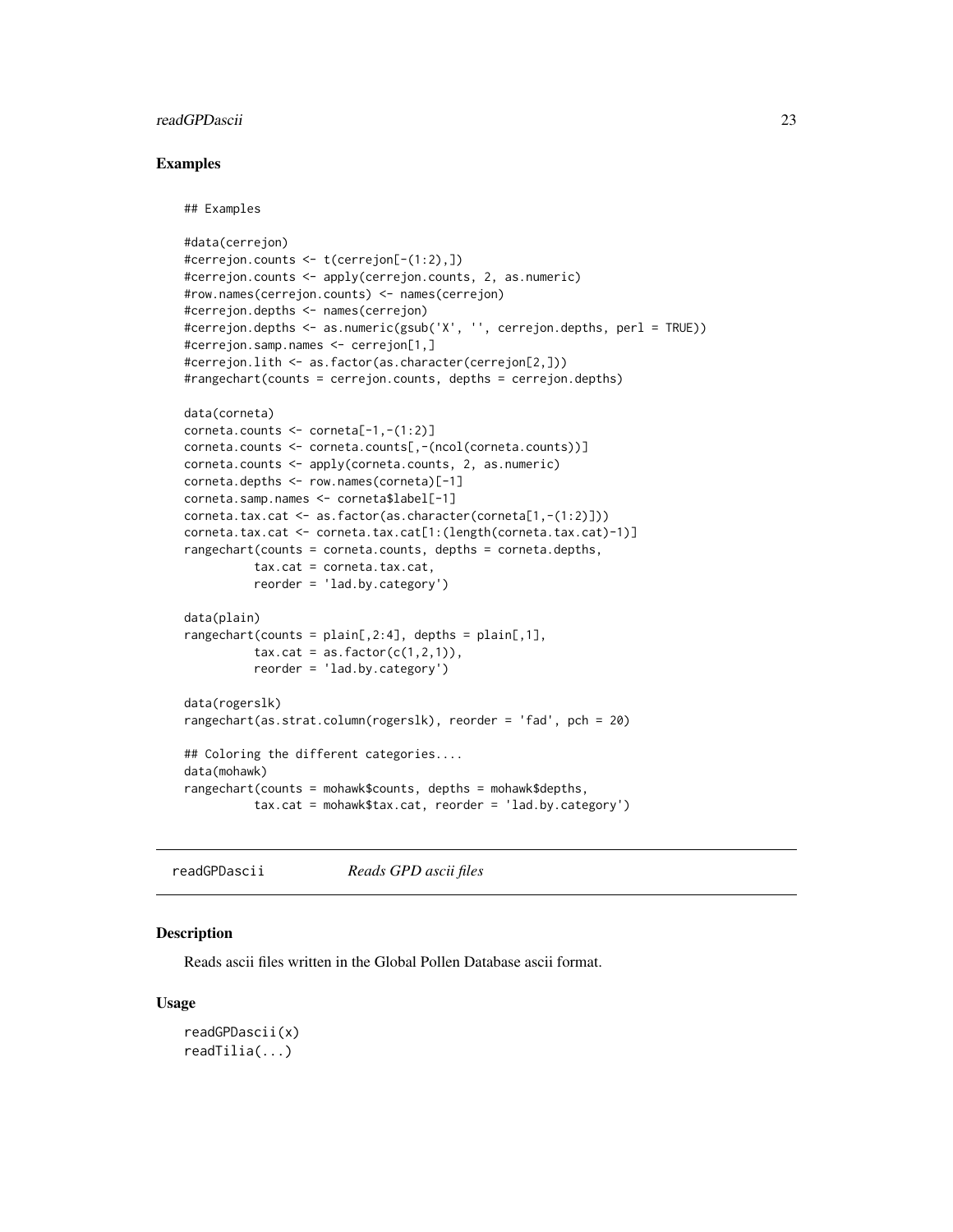# <span id="page-22-0"></span>readGPDascii 23

#### Examples

## Examples

```
#data(cerrejon)
#cerrejon.counts <- t(cerrejon[-(1:2),])
#cerrejon.counts <- apply(cerrejon.counts, 2, as.numeric)
#row.names(cerrejon.counts) <- names(cerrejon)
#cerrejon.depths <- names(cerrejon)
#cerrejon.depths <- as.numeric(gsub('X', '', cerrejon.depths, perl = TRUE))
#cerrejon.samp.names <- cerrejon[1,]
#cerrejon.lith <- as.factor(as.character(cerrejon[2,]))
#rangechart(counts = cerrejon.counts, depths = cerrejon.depths)
data(corneta)
corneta.counts <- corneta[-1,-(1:2)]
corneta.counts <- corneta.counts[,-(ncol(corneta.counts))]
corneta.counts <- apply(corneta.counts, 2, as.numeric)
corneta.depths <- row.names(corneta)[-1]
corneta.samp.names <- corneta$label[-1]
corneta.tax.cat <- as.factor(as.character(corneta[1,-(1:2)]))
corneta.tax.cat <- corneta.tax.cat[1:(length(corneta.tax.cat)-1)]
rangechart(counts = corneta.counts, depths = corneta.depths,
          tax.cat = corneta.tax.cat,
         reorder = 'lad.by.category')
data(plain)
rangechart(counts = plain[,2:4], depths = plain[,1],tax.cat = as.factor(c(1,2,1)),reorder = 'lad.by.category')
data(rogerslk)
rangechart(as.strat.column(rogerslk), reorder = 'fad', pch = 20)
## Coloring the different categories....
data(mohawk)
rangechart(counts = mohawk$counts, depths = mohawk$depths,
          tax.cat = mohawk$tax.cat, reorder = 'lad.by.category')
```
<span id="page-22-2"></span>readGPDascii *Reads GPD ascii files*

# <span id="page-22-1"></span>**Description**

Reads ascii files written in the Global Pollen Database ascii format.

#### Usage

```
readGPDascii(x)
readTilia(...)
```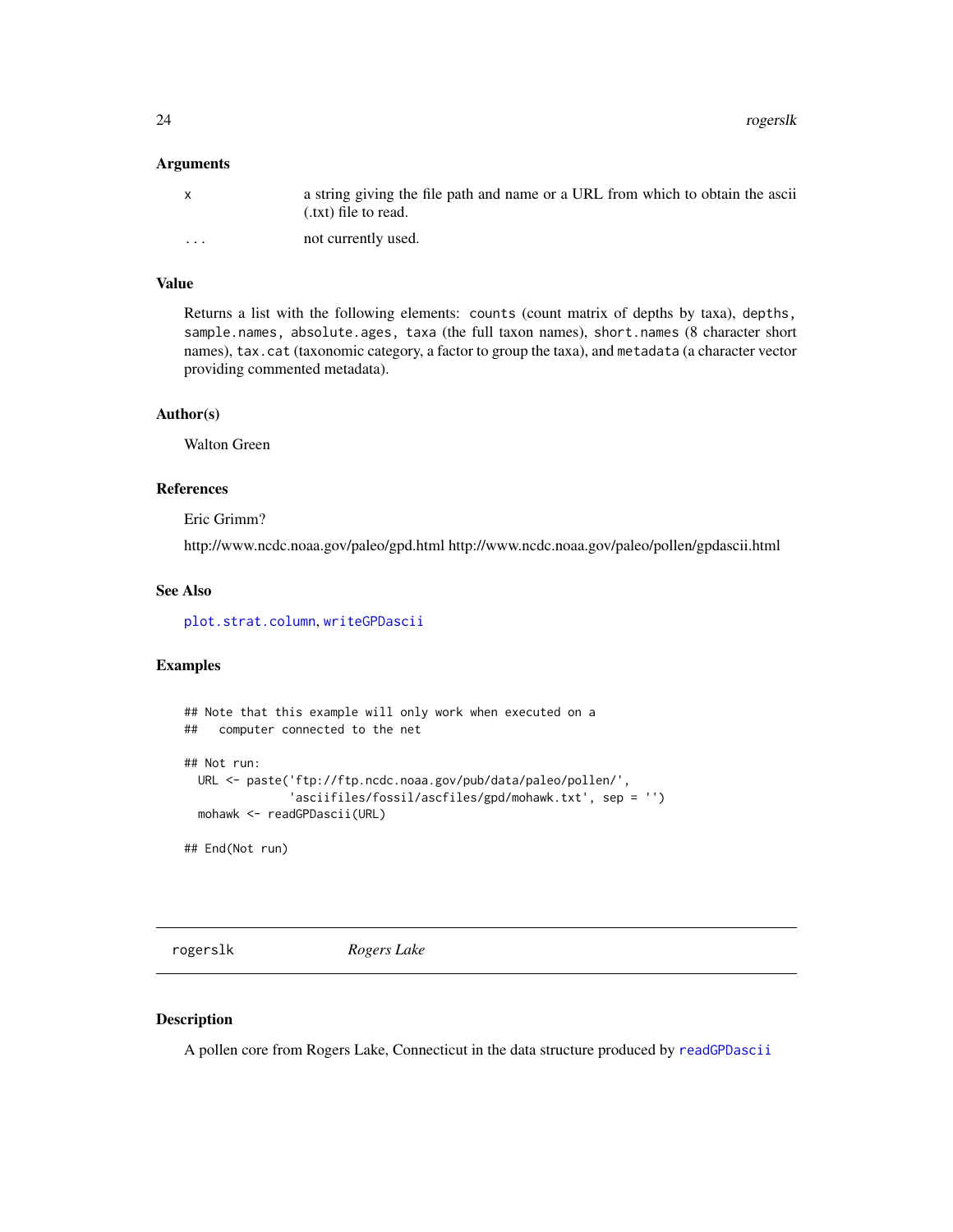<span id="page-23-0"></span>24 rogerslk

#### Arguments

|          | a string giving the file path and name or a URL from which to obtain the ascii<br>(.txt) file to read. |
|----------|--------------------------------------------------------------------------------------------------------|
| $\cdots$ | not currently used.                                                                                    |

#### Value

Returns a list with the following elements: counts (count matrix of depths by taxa), depths, sample.names, absolute.ages, taxa (the full taxon names), short.names (8 character short names), tax.cat (taxonomic category, a factor to group the taxa), and metadata (a character vector providing commented metadata).

#### Author(s)

Walton Green

# References

Eric Grimm?

http://www.ncdc.noaa.gov/paleo/gpd.html http://www.ncdc.noaa.gov/paleo/pollen/gpdascii.html

#### See Also

[plot.strat.column](#page-16-1), [writeGPDascii](#page-29-2)

# Examples

```
## Note that this example will only work when executed on a
## computer connected to the net
## Not run:
 URL <- paste('ftp://ftp.ncdc.noaa.gov/pub/data/paleo/pollen/',
               'asciifiles/fossil/ascfiles/gpd/mohawk.txt', sep = '')
 mohawk <- readGPDascii(URL)
## End(Not run)
```
<span id="page-23-1"></span>rogerslk *Rogers Lake*

#### Description

A pollen core from Rogers Lake, Connecticut in the data structure produced by [readGPDascii](#page-22-2)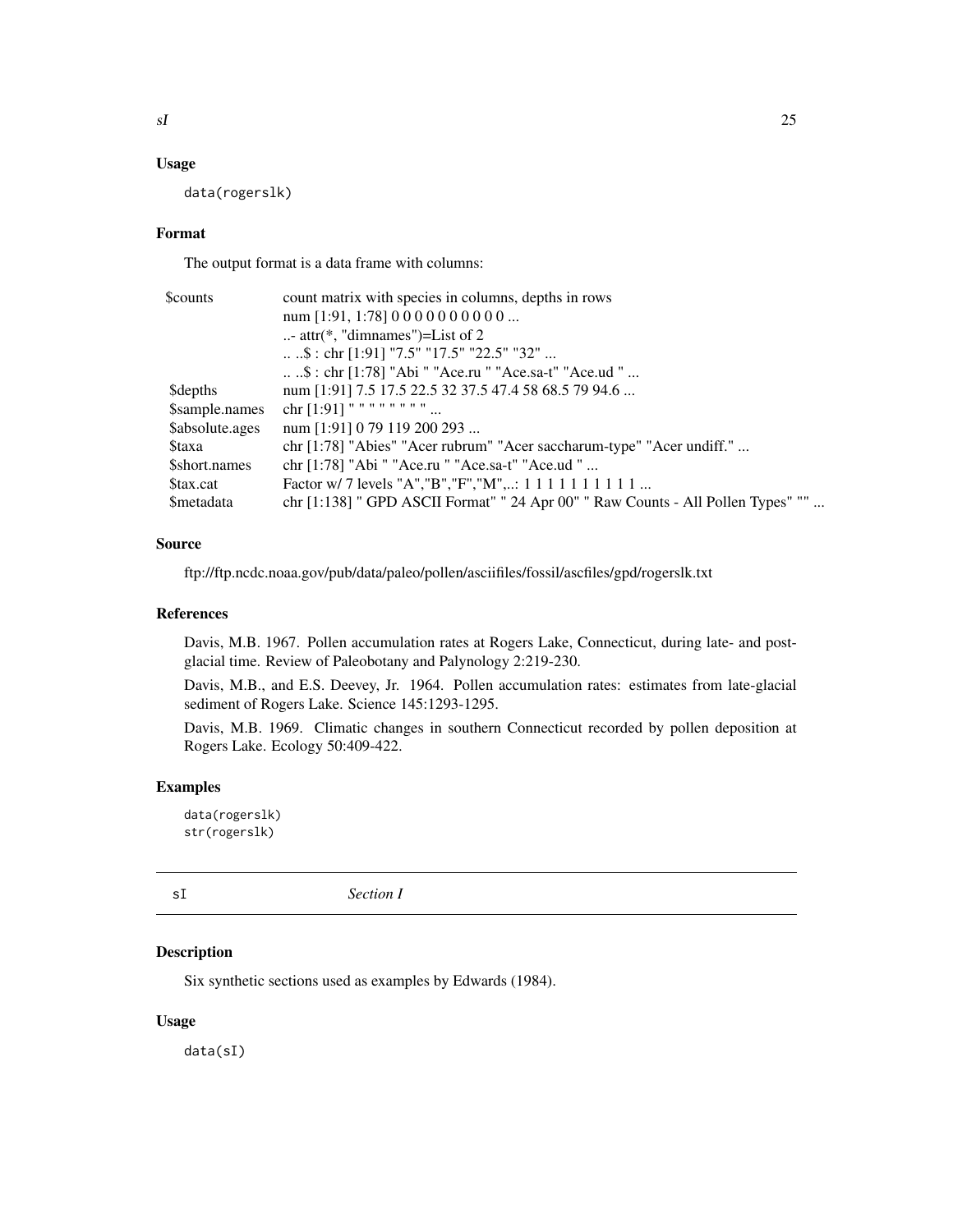#### <span id="page-24-0"></span>Usage

data(rogerslk)

#### Format

The output format is a data frame with columns:

| \$counts         | count matrix with species in columns, depths in rows                             |  |  |
|------------------|----------------------------------------------------------------------------------|--|--|
|                  | num [1:91, 1:78] 0 0 0 0 0 0 0 0 0 0                                             |  |  |
|                  | - attr( $*$ , "dimnames")=List of 2                                              |  |  |
|                  | \$ : chr [1:91] "7.5" "17.5" "22.5" "32"                                         |  |  |
|                  | \$ : chr [1:78] "Abi " "Ace.ru " "Ace.sa-t" "Ace.ud "                            |  |  |
| <b>Sdepths</b>   | num [1:91] 7.5 17.5 22.5 32 37.5 47.4 58 68.5 79 94.6                            |  |  |
| \$sample.names   | chr $[1:91]$ " " " " " " "                                                       |  |  |
| \$absolute.ages  | num [1:91] 0 79 119 200 293                                                      |  |  |
| <b>Staxa</b>     | chr [1:78] "Abies" "Acer rubrum" "Acer saccharum-type" "Acer undiff."            |  |  |
| \$short.names    | chr [1:78] "Abi " "Ace.ru " "Ace.sa-t" "Ace.ud "                                 |  |  |
| Stax.cat         | Factor w/ 7 levels "A", "B", "F", "M",: 1 1 1 1 1 1 1 1 1 1                      |  |  |
| <b>Smetadata</b> | chr [1:138] " GPD ASCII Format" " 24 Apr 00" " Raw Counts - All Pollen Types" "" |  |  |

## Source

ftp://ftp.ncdc.noaa.gov/pub/data/paleo/pollen/asciifiles/fossil/ascfiles/gpd/rogerslk.txt

# References

Davis, M.B. 1967. Pollen accumulation rates at Rogers Lake, Connecticut, during late- and postglacial time. Review of Paleobotany and Palynology 2:219-230.

Davis, M.B., and E.S. Deevey, Jr. 1964. Pollen accumulation rates: estimates from late-glacial sediment of Rogers Lake. Science 145:1293-1295.

Davis, M.B. 1969. Climatic changes in southern Connecticut recorded by pollen deposition at Rogers Lake. Ecology 50:409-422.

# Examples

data(rogerslk) str(rogerslk)

<span id="page-24-1"></span>sI *Section I*

# <span id="page-24-2"></span>Description

Six synthetic sections used as examples by Edwards (1984).

#### Usage

data(sI)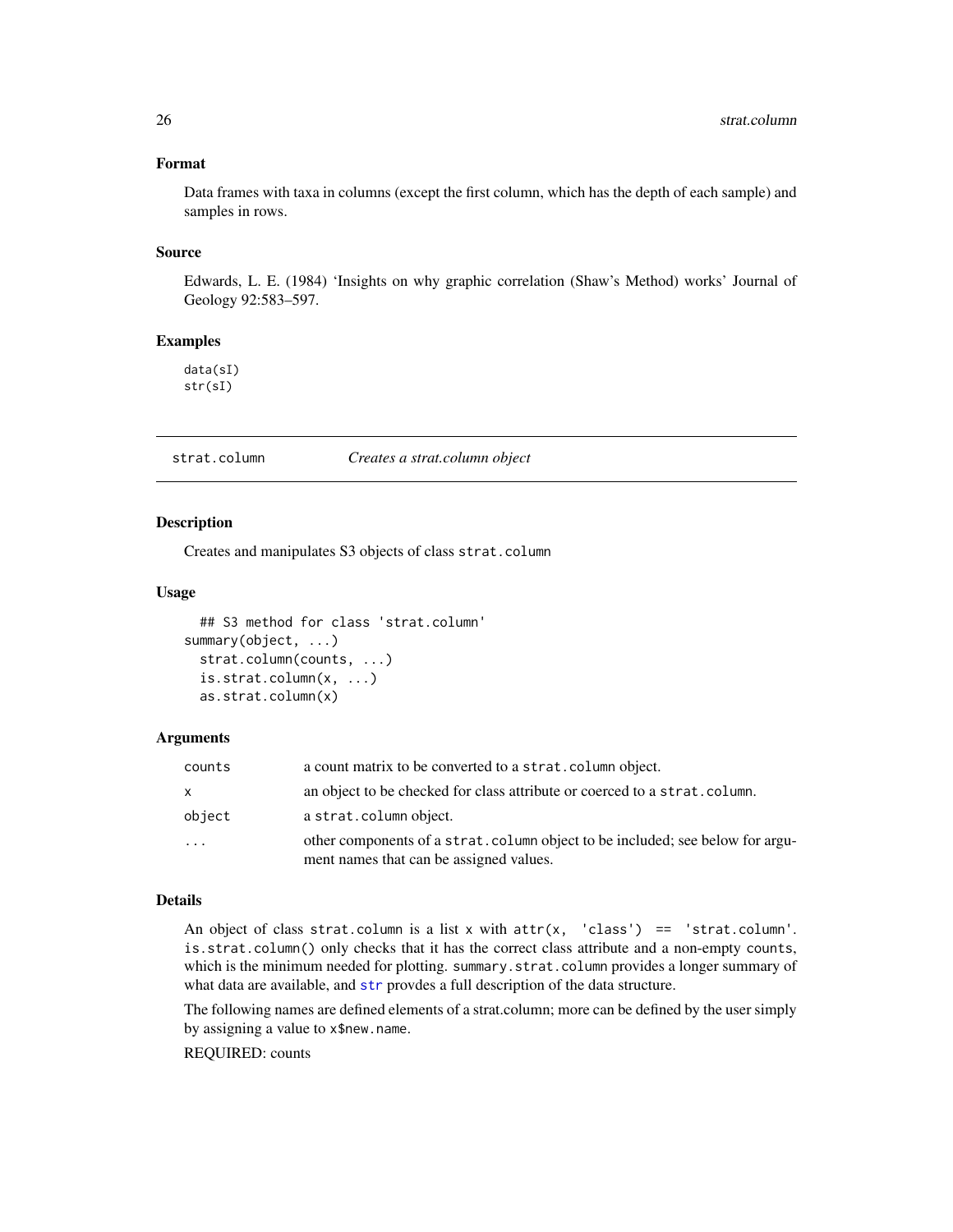# Format

Data frames with taxa in columns (except the first column, which has the depth of each sample) and samples in rows.

#### Source

Edwards, L. E. (1984) 'Insights on why graphic correlation (Shaw's Method) works' Journal of Geology 92:583–597.

# Examples

data(sI) str(sI)

<span id="page-25-1"></span>strat.column *Creates a strat.column object*

# <span id="page-25-2"></span>Description

Creates and manipulates S3 objects of class strat.column

#### Usage

```
## S3 method for class 'strat.column'
summary(object, ...)
  strat.column(counts, ...)
  is.strat.column(x, ...)
  as.strat.column(x)
```
### Arguments

| counts       | a count matrix to be converted to a strat. column object.                                                                |
|--------------|--------------------------------------------------------------------------------------------------------------------------|
| $\mathsf{x}$ | an object to be checked for class attribute or coerced to a strat.column.                                                |
| object       | a strat.column object.                                                                                                   |
| .            | other components of a strat.column object to be included; see below for argu-<br>ment names that can be assigned values. |

# Details

An object of class strat.column is a list x with  $attr(x, 'class') == 'strat.colum'.$ is.strat.column() only checks that it has the correct class attribute and a non-empty counts, which is the minimum needed for plotting. summary.strat.column provides a longer summary of what data are available, and [str](#page-0-0) provdes a full description of the data structure.

The following names are defined elements of a strat.column; more can be defined by the user simply by assigning a value to x\$new.name.

REQUIRED: counts

<span id="page-25-0"></span>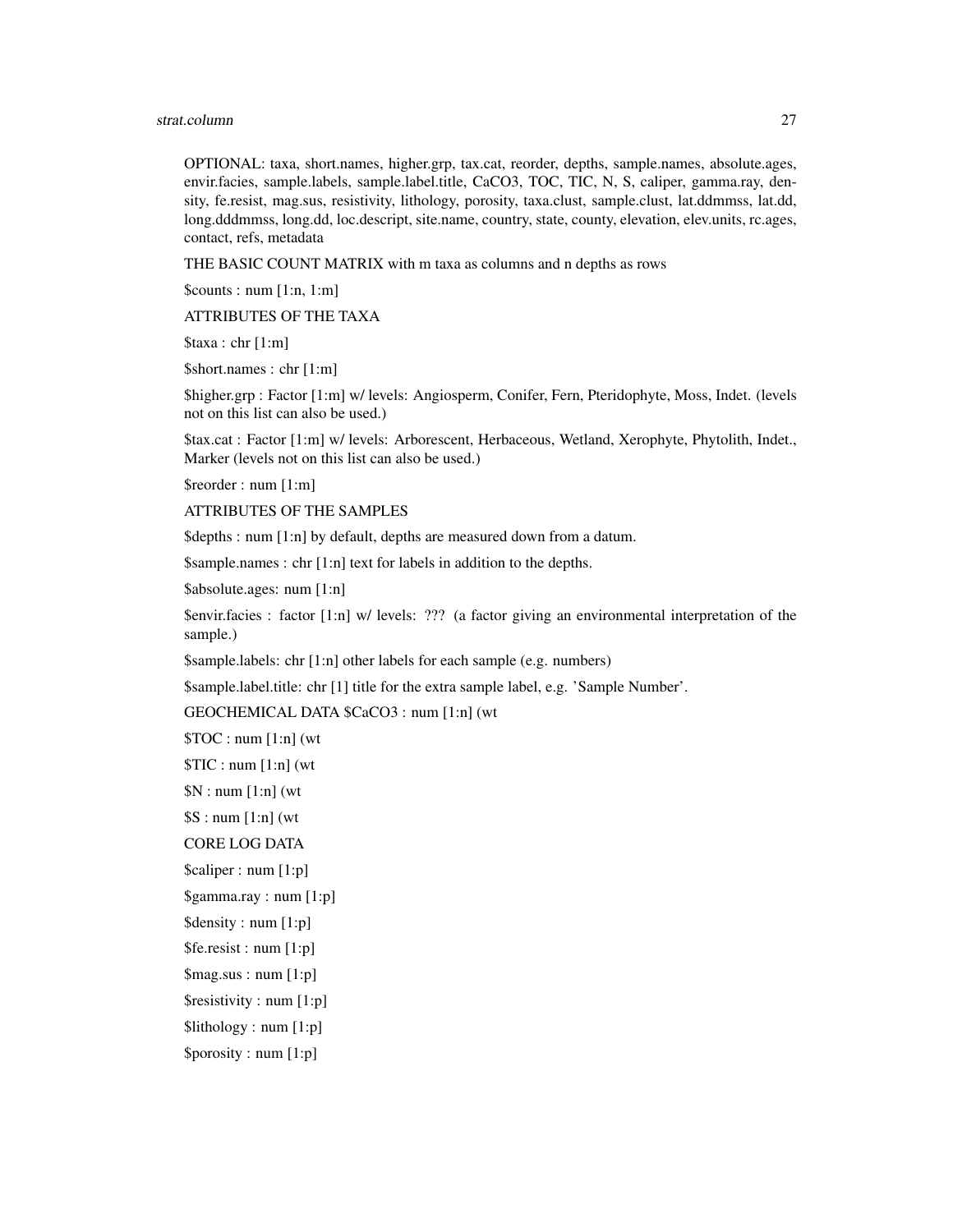#### strat.column 27

OPTIONAL: taxa, short.names, higher.grp, tax.cat, reorder, depths, sample.names, absolute.ages, envir.facies, sample.labels, sample.label.title, CaCO3, TOC, TIC, N, S, caliper, gamma.ray, density, fe.resist, mag.sus, resistivity, lithology, porosity, taxa.clust, sample.clust, lat.ddmmss, lat.dd, long.dddmmss, long.dd, loc.descript, site.name, country, state, county, elevation, elev.units, rc.ages, contact, refs, metadata

THE BASIC COUNT MATRIX with m taxa as columns and n depths as rows

 $\text{Scounts}: \text{num} [1:n, 1:m]$ 

ATTRIBUTES OF THE TAXA

 $\frac{\text{staxa : chr} [1:m]}{m}$ 

\$short.names : chr [1:m]

\$higher.grp : Factor [1:m] w/ levels: Angiosperm, Conifer, Fern, Pteridophyte, Moss, Indet. (levels not on this list can also be used.)

\$tax.cat : Factor [1:m] w/ levels: Arborescent, Herbaceous, Wetland, Xerophyte, Phytolith, Indet., Marker (levels not on this list can also be used.)

\$reorder : num [1:m]

ATTRIBUTES OF THE SAMPLES

\$depths : num [1:n] by default, depths are measured down from a datum.

\$sample.names : chr [1:n] text for labels in addition to the depths.

\$absolute.ages: num [1:n]

\$envir.facies : factor [1:n] w/ levels: ??? (a factor giving an environmental interpretation of the sample.)

\$sample.labels: chr [1:n] other labels for each sample (e.g. numbers)

\$sample.label.title: chr [1] title for the extra sample label, e.g. 'Sample Number'.

GEOCHEMICAL DATA \$CaCO3 : num [1:n] (wt

 $$TOC: num [1:n] (wt)$ 

 $TIC: num[1:n]$  (wt

 $N: num[1:n]$  (wt

 $$S: num[1:n]$  (wt

CORE LOG DATA

\$caliper : num [1:p]

\$gamma.ray : num [1:p]

\$density : num [1:p]

\$fe.resist : num [1:p]

\$mag.sus : num [1:p]

\$resistivity : num [1:p]

\$lithology : num [1:p]

\$porosity : num [1:p]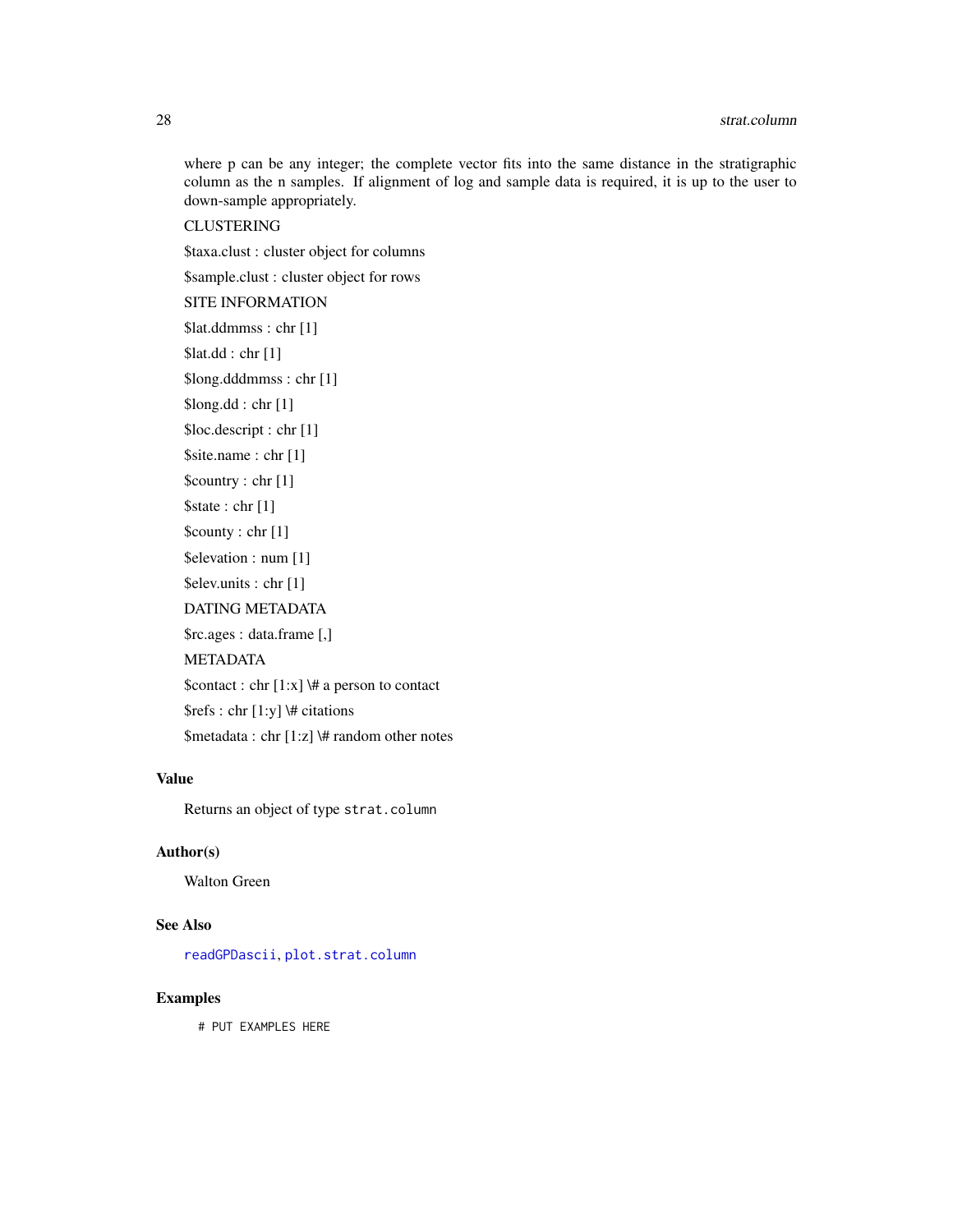<span id="page-27-0"></span>28 strat.column and the contract of the contract of the contract of the contract of the contract of the contract of the contract of the contract of the contract of the contract of the contract of the contract of the contra

where p can be any integer; the complete vector fits into the same distance in the stratigraphic column as the n samples. If alignment of log and sample data is required, it is up to the user to down-sample appropriately.

**CLUSTERING** 

\$taxa.clust : cluster object for columns

\$sample.clust : cluster object for rows

SITE INFORMATION

\$lat.ddmmss : chr [1]

\$lat.dd : chr [1]

\$long.dddmmss : chr [1]

\$long.dd : chr [1]

\$loc.descript : chr [1]

\$site.name : chr [1]

\$country : chr [1] \$state : chr [1]

\$county : chr [1]

\$elevation : num [1]

\$elev.units : chr [1]

DATING METADATA

\$rc.ages : data.frame [,]

METADATA

\$contact : chr  $[1:x]$  \# a person to contact

\$refs : chr [1:y] \# citations

\$metadata : chr [1:z] \# random other notes

# Value

Returns an object of type strat.column

# Author(s)

Walton Green

# See Also

[readGPDascii](#page-22-2), [plot.strat.column](#page-16-1)

#### Examples

# PUT EXAMPLES HERE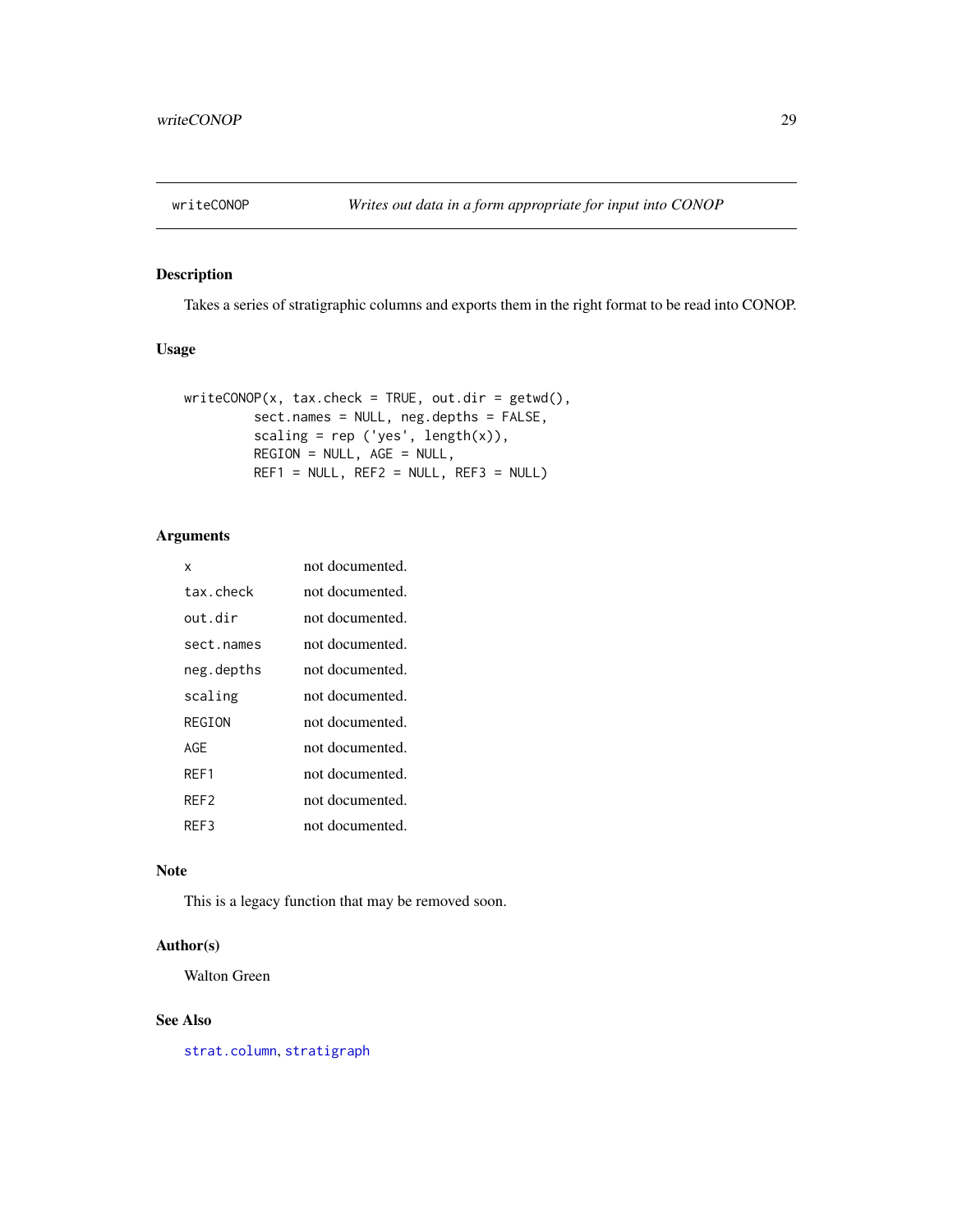<span id="page-28-0"></span>

# Description

Takes a series of stratigraphic columns and exports them in the right format to be read into CONOP.

# Usage

```
writeCOND(x, tax.check = TRUE, out.dir = getwd(),sect.names = NULL, neg.depths = FALSE,
         scaling = rep ('yes', length(x)),
        REGION = NULL, AGE = NULL,
        REF1 = NULL, REF2 = NULL, REF3 = NULL)
```
# Arguments

| x          | not documented. |
|------------|-----------------|
| tax.check  | not documented. |
| out dir    | not documented. |
| sect.names | not documented. |
| neg.depths | not documented. |
| scaling    | not documented. |
| REGTON     | not documented. |
| AGF        | not documented. |
| RFF1       | not documented. |
| RFF2       | not documented. |
| RFF3       | not documented. |

### Note

This is a legacy function that may be removed soon.

# Author(s)

Walton Green

# See Also

[strat.column](#page-25-1), [stratigraph](#page-1-1)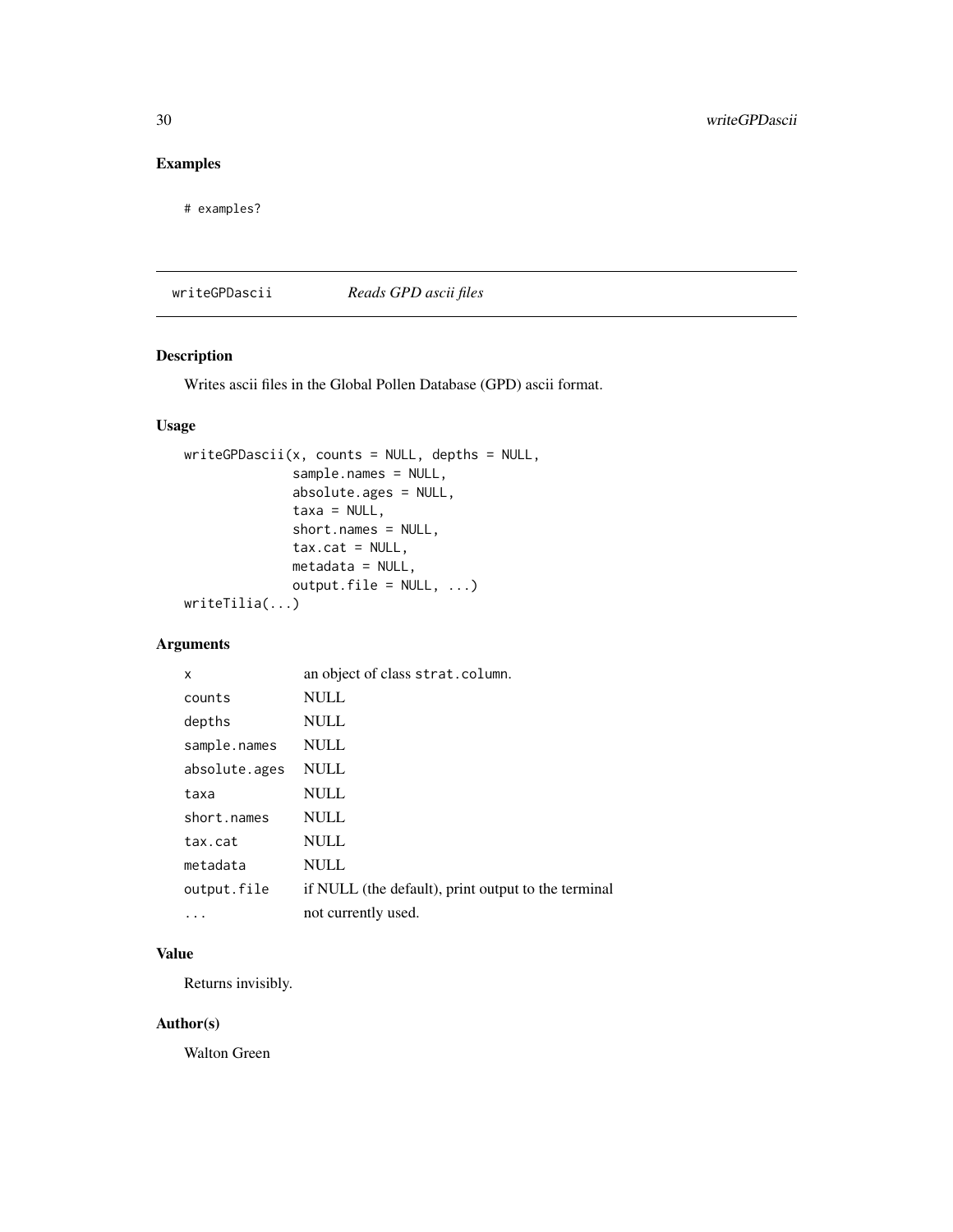# <span id="page-29-0"></span>Examples

# examples?

<span id="page-29-2"></span>writeGPDascii *Reads GPD ascii files*

# <span id="page-29-1"></span>Description

Writes ascii files in the Global Pollen Database (GPD) ascii format.

# Usage

```
writeGPDascii(x, counts = NULL, depths = NULL,sample.names = NULL,
              absolute.ages = NULL,
              taxa = NULL,short.names = NULL,
              tax.cat = NULL,metadata = NULL,
              output.file = NULL, ...)writeTilia(...)
```

```
Arguments
```

| x             | an object of class strat.column.                    |
|---------------|-----------------------------------------------------|
| counts        | NULL                                                |
| depths        | <b>NULL</b>                                         |
| sample.names  | <b>NULL</b>                                         |
| absolute.ages | <b>NULL</b>                                         |
| taxa          | <b>NULL</b>                                         |
| short.names   | <b>NULL</b>                                         |
| tax.cat       | <b>NULL</b>                                         |
| metadata      | <b>NULL</b>                                         |
| output.file   | if NULL (the default), print output to the terminal |
| .             | not currently used.                                 |

# Value

Returns invisibly.

#### Author(s)

Walton Green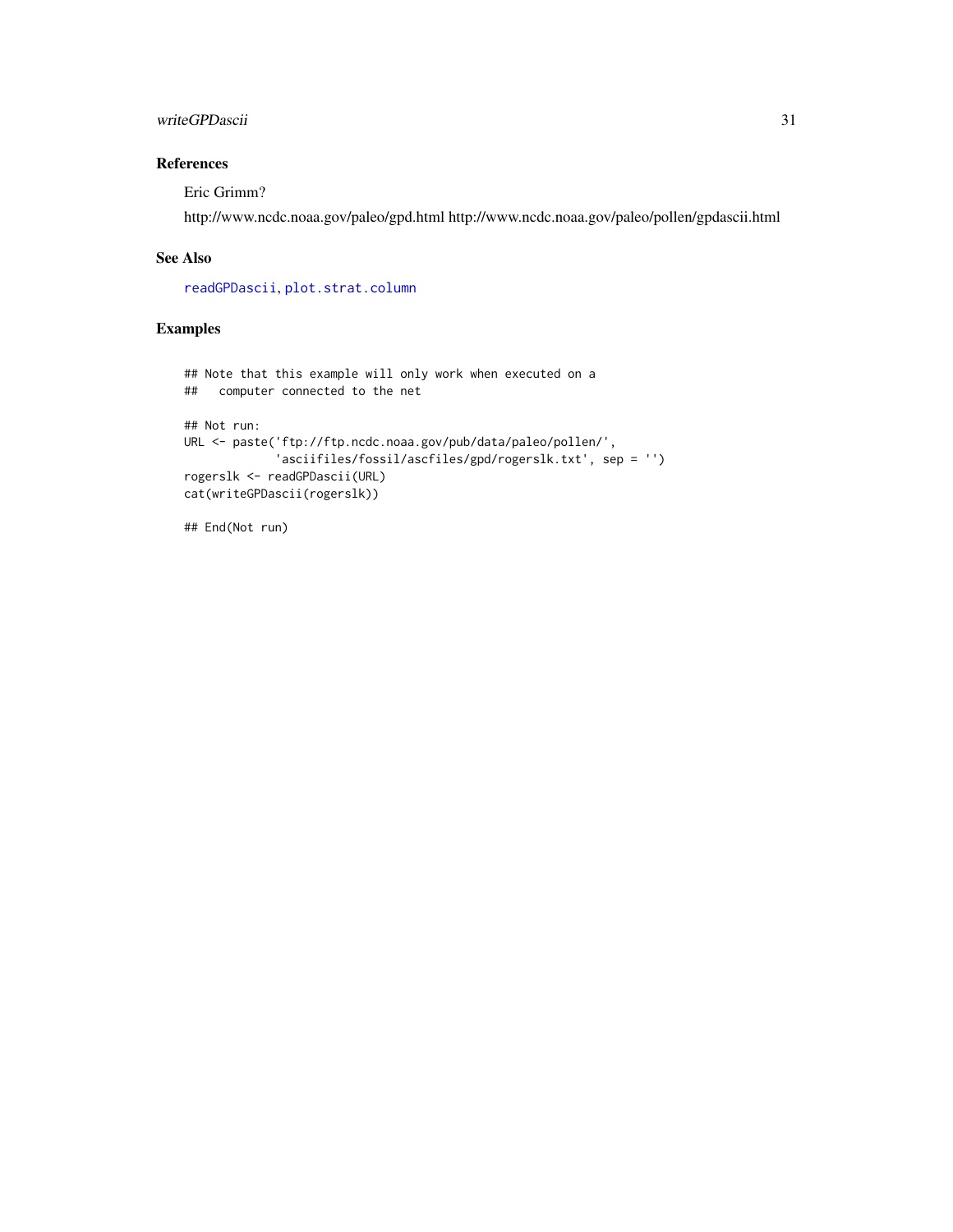## <span id="page-30-0"></span>writeGPDascii 31

# References

Eric Grimm?

http://www.ncdc.noaa.gov/paleo/gpd.html http://www.ncdc.noaa.gov/paleo/pollen/gpdascii.html

#### See Also

[readGPDascii](#page-22-2), [plot.strat.column](#page-16-1)

# Examples

```
## Note that this example will only work when executed on a
## computer connected to the net
## Not run:
URL <- paste('ftp://ftp.ncdc.noaa.gov/pub/data/paleo/pollen/',
             'asciifiles/fossil/ascfiles/gpd/rogerslk.txt', sep = '')
rogerslk <- readGPDascii(URL)
cat(writeGPDascii(rogerslk))
```
## End(Not run)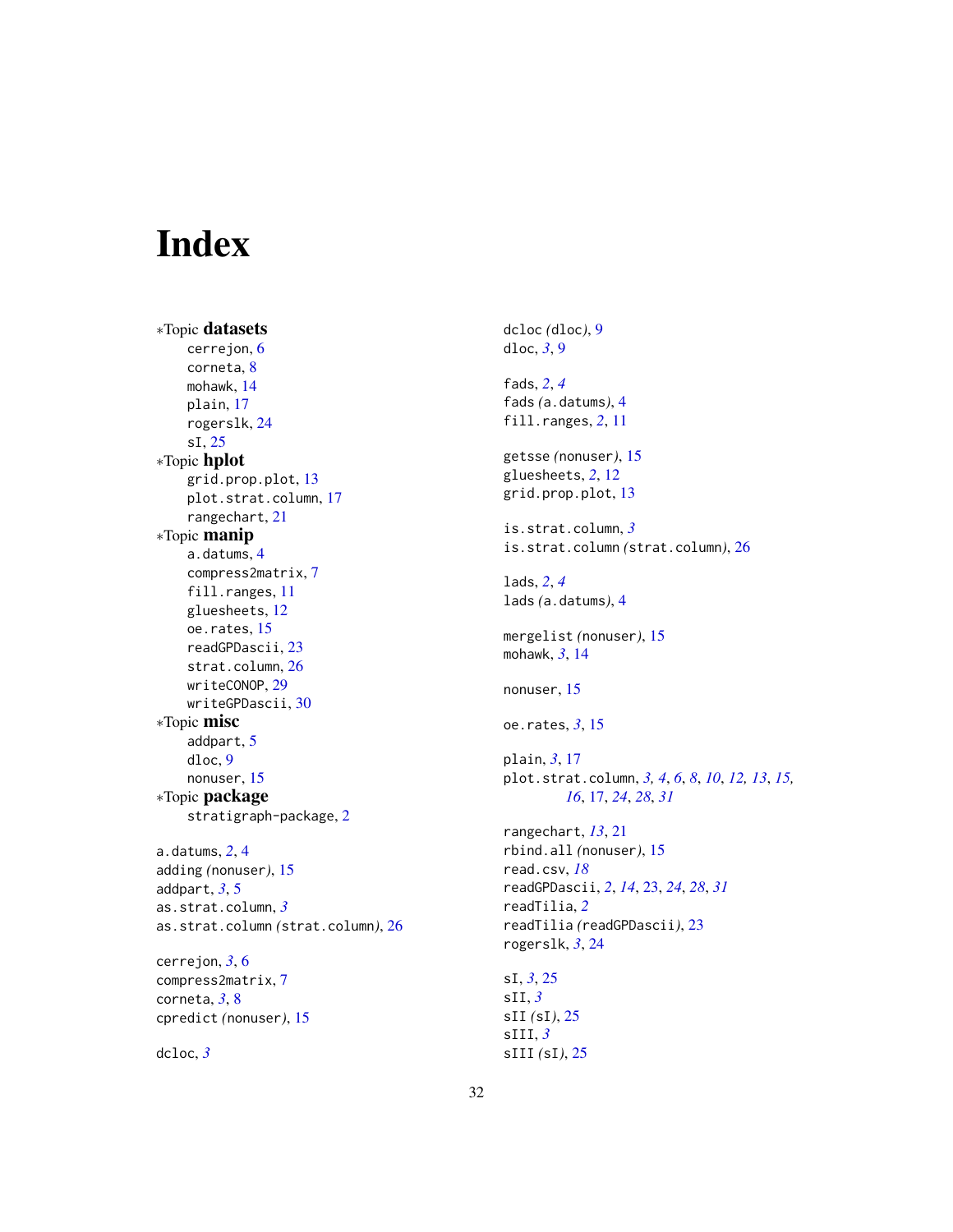# <span id="page-31-0"></span>Index

∗Topic datasets cerrejon, [6](#page-5-0) corneta, [8](#page-7-0) mohawk, [14](#page-13-0) plain, [17](#page-16-0) rogerslk, [24](#page-23-0) sI, [25](#page-24-0) ∗Topic hplot grid.prop.plot, [13](#page-12-0) plot.strat.column, [17](#page-16-0) rangechart, [21](#page-20-0) ∗Topic manip a.datums, [4](#page-3-0) compress2matrix, [7](#page-6-0) fill.ranges, [11](#page-10-0) gluesheets, [12](#page-11-0) oe.rates, [15](#page-14-0) readGPDascii, [23](#page-22-0) strat.column, [26](#page-25-0) writeCONOP, [29](#page-28-0) writeGPDascii, [30](#page-29-0) ∗Topic misc addpart, [5](#page-4-0) dloc, [9](#page-8-0) nonuser, [15](#page-14-0) ∗Topic package stratigraph-package, [2](#page-1-0) a.datums, *[2](#page-1-0)*, [4](#page-3-0) adding *(*nonuser*)*, [15](#page-14-0) addpart, *[3](#page-2-0)*, [5](#page-4-0) as.strat.column, *[3](#page-2-0)* as.strat.column *(*strat.column*)*, [26](#page-25-0) cerrejon, *[3](#page-2-0)*, [6](#page-5-0)

compress2matrix, [7](#page-6-0) corneta, *[3](#page-2-0)*, [8](#page-7-0) cpredict *(*nonuser*)*, [15](#page-14-0)

dcloc, *[3](#page-2-0)*

dcloc *(*dloc*)*, [9](#page-8-0) dloc, *[3](#page-2-0)*, [9](#page-8-0) fads, *[2](#page-1-0)*, *[4](#page-3-0)* fads *(*a.datums*)*, [4](#page-3-0) fill.ranges, *[2](#page-1-0)*, [11](#page-10-0) getsse *(*nonuser*)*, [15](#page-14-0) gluesheets, *[2](#page-1-0)*, [12](#page-11-0) grid.prop.plot, [13](#page-12-0) is.strat.column, *[3](#page-2-0)* is.strat.column *(*strat.column*)*, [26](#page-25-0) lads, *[2](#page-1-0)*, *[4](#page-3-0)* lads *(*a.datums*)*, [4](#page-3-0) mergelist *(*nonuser*)*, [15](#page-14-0) mohawk, *[3](#page-2-0)*, [14](#page-13-0) nonuser, [15](#page-14-0) oe.rates, *[3](#page-2-0)*, [15](#page-14-0) plain, *[3](#page-2-0)*, [17](#page-16-0) plot.strat.column, *[3,](#page-2-0) [4](#page-3-0)*, *[6](#page-5-0)*, *[8](#page-7-0)*, *[10](#page-9-0)*, *[12,](#page-11-0) [13](#page-12-0)*, *[15,](#page-14-0) [16](#page-15-0)*, [17,](#page-16-0) *[24](#page-23-0)*, *[28](#page-27-0)*, *[31](#page-30-0)* rangechart, *[13](#page-12-0)*, [21](#page-20-0) rbind.all *(*nonuser*)*, [15](#page-14-0) read.csv, *[18](#page-17-0)* readGPDascii, *[2](#page-1-0)*, *[14](#page-13-0)*, [23,](#page-22-0) *[24](#page-23-0)*, *[28](#page-27-0)*, *[31](#page-30-0)* readTilia, *[2](#page-1-0)* readTilia *(*readGPDascii*)*, [23](#page-22-0) rogerslk, *[3](#page-2-0)*, [24](#page-23-0) sI, *[3](#page-2-0)*, [25](#page-24-0) sII, *[3](#page-2-0)* sII *(*sI*)*, [25](#page-24-0) sIII, *[3](#page-2-0)*

sIII *(*sI*)*, [25](#page-24-0)